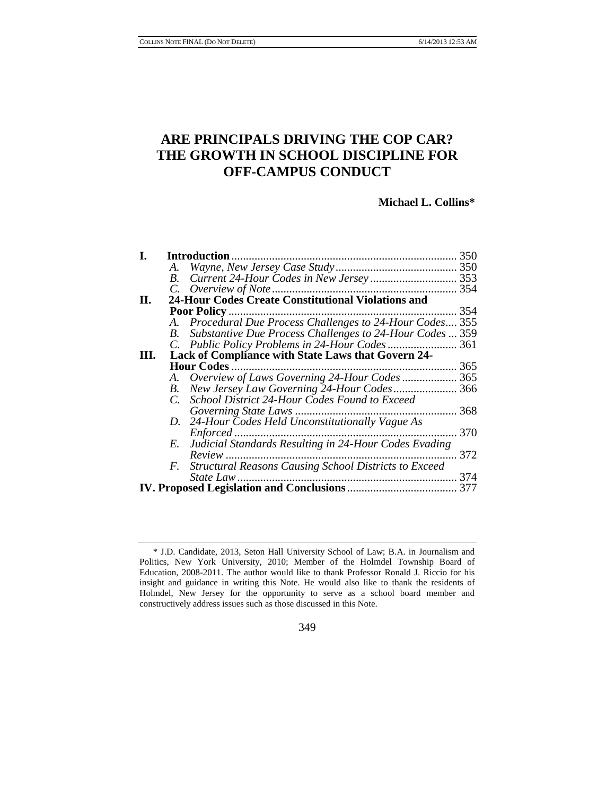# **ARE PRINCIPALS DRIVING THE COP CAR? THE GROWTH IN SCHOOL DISCIPLINE FOR OFF-CAMPUS CONDUCT**

### **Michael L. Collins\***

| I. |             | <b>Introduction</b>                                       | 350 |
|----|-------------|-----------------------------------------------------------|-----|
|    | А.          |                                                           | 350 |
|    | B.          |                                                           | 353 |
|    |             |                                                           | 354 |
| П. |             | 24-Hour Codes Create Constitutional Violations and        |     |
|    |             | <b>Poor Policy </b>                                       | 354 |
|    |             | A. Procedural Due Process Challenges to 24-Hour Codes 355 |     |
|    | B.          | Substantive Due Process Challenges to 24-Hour Codes  359  |     |
|    |             |                                                           |     |
| Ш. |             | Lack of Compliance with State Laws that Govern 24-        |     |
|    |             | <b>Hour Codes.</b>                                        | 365 |
|    | A.          |                                                           | 365 |
|    | В.          | New Jersey Law Governing 24-Hour Codes 366                |     |
|    | $C_{\cdot}$ | School District 24-Hour Codes Found to Exceed             |     |
|    |             | Governing State Laws                                      | 368 |
|    | D.          | 24-Hour Codes Held Unconstitutionally Vague As            |     |
|    |             | Enforced                                                  | 370 |
|    | E.          | Judicial Standards Resulting in 24-Hour Codes Evading     |     |
|    |             | $Review$                                                  | 372 |
|    | F.          | Structural Reasons Causing School Districts to Exceed     |     |
|    |             | <i>State Law</i>                                          | 374 |
|    |             |                                                           | 377 |

### 349

<sup>\*</sup> J.D. Candidate, 2013, Seton Hall University School of Law; B.A. in Journalism and Politics, New York University, 2010; Member of the Holmdel Township Board of Education, 2008-2011. The author would like to thank Professor Ronald J. Riccio for his insight and guidance in writing this Note. He would also like to thank the residents of Holmdel, New Jersey for the opportunity to serve as a school board member and constructively address issues such as those discussed in this Note.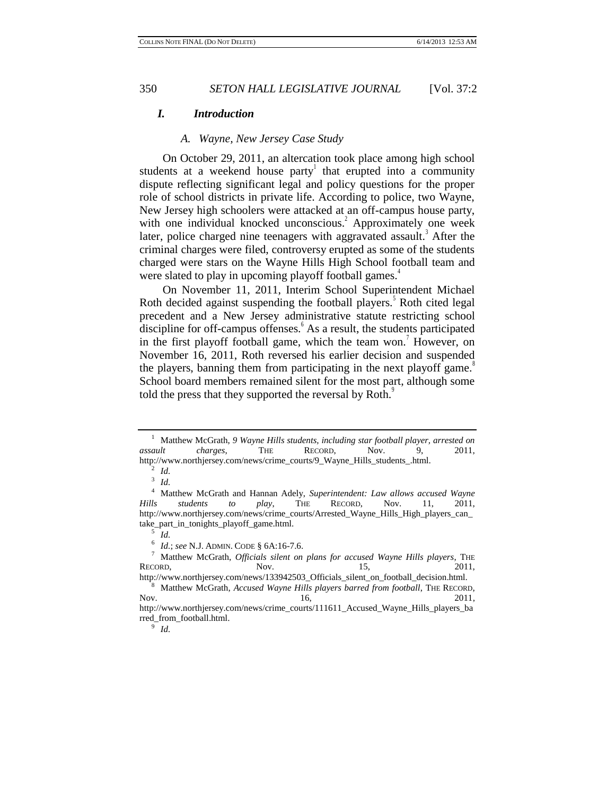### *I. Introduction*

#### *A. Wayne, New Jersey Case Study*

On October 29, 2011, an altercation took place among high school students at a weekend house party that erupted into a community dispute reflecting significant legal and policy questions for the proper role of school districts in private life. According to police, two Wayne, New Jersey high schoolers were attacked at an off-campus house party, with one individual knocked unconscious.<sup>2</sup> Approximately one week later, police charged nine teenagers with aggravated assault.<sup>3</sup> After the criminal charges were filed, controversy erupted as some of the students charged were stars on the Wayne Hills High School football team and were slated to play in upcoming playoff football games.<sup>4</sup>

On November 11, 2011, Interim School Superintendent Michael Roth decided against suspending the football players. $5$  Roth cited legal precedent and a New Jersey administrative statute restricting school discipline for off-campus offenses. $6$  As a result, the students participated in the first playoff football game, which the team won.<sup>7</sup> However, on November 16, 2011, Roth reversed his earlier decision and suspended the players, banning them from participating in the next playoff game.<sup>8</sup> School board members remained silent for the most part, although some told the press that they supported the reversal by Roth.<sup>9</sup>

<sup>1</sup> Matthew McGrath, *9 Wayne Hills students, including star football player, arrested on assault charges*, THE RECORD, Nov. 9, 2011, http://www.northjersey.com/news/crime\_courts/9\_Wayne\_Hills\_students\_.html.

<sup>2</sup> *Id.* 3 *Id.*

<sup>4</sup> Matthew McGrath and Hannan Adely, *Superintendent: Law allows accused Wayne Hills students to play*, THE RECORD, Nov. 11, 2011, http://www.northjersey.com/news/crime\_courts/Arrested\_Wayne\_Hills\_High\_players\_can\_ take\_part\_in\_tonights\_playoff\_game.html.

<sup>5</sup> *Id.*

<sup>6</sup> *Id.*; *see* N.J. ADMIN. CODE § 6A:16-7.6.

<sup>7</sup> Matthew McGrath, *Officials silent on plans for accused Wayne Hills players*, THE RECORD, Nov. 15, 2011, http://www.northjersey.com/news/133942503\_Officials\_silent\_on\_football\_decision.html.

<sup>8</sup> Matthew McGrath, *Accused Wayne Hills players barred from football*, THE RECORD, Nov. 2011, 2011

http://www.northjersey.com/news/crime\_courts/111611\_Accused\_Wayne\_Hills\_players\_ba rred\_from\_football.html.

<sup>9</sup> *Id.*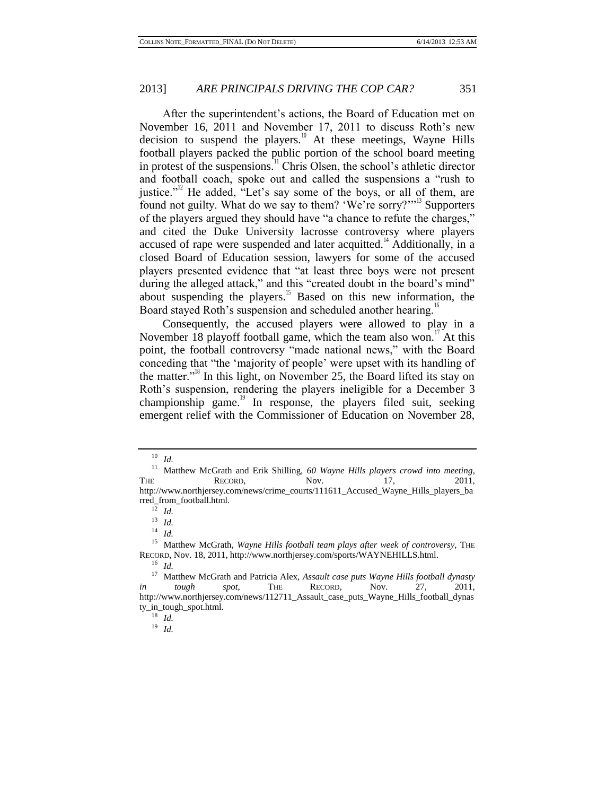After the superintendent's actions, the Board of Education met on November 16, 2011 and November 17, 2011 to discuss Roth's new decision to suspend the players.<sup>10</sup> At these meetings, Wayne Hills football players packed the public portion of the school board meeting in protest of the suspensions.<sup>11</sup> Chris Olsen, the school's athletic director and football coach, spoke out and called the suspensions a "rush to justice."<sup>12</sup> He added, "Let's say some of the boys, or all of them, are found not guilty. What do we say to them? 'We're sorry?'"<sup>13</sup> Supporters of the players argued they should have "a chance to refute the charges," and cited the Duke University lacrosse controversy where players accused of rape were suspended and later acquitted.<sup>14</sup> Additionally, in a closed Board of Education session, lawyers for some of the accused players presented evidence that "at least three boys were not present during the alleged attack," and this "created doubt in the board's mind" about suspending the players.<sup>15</sup> Based on this new information, the Board stayed Roth's suspension and scheduled another hearing.<sup>16</sup>

Consequently, the accused players were allowed to play in a November 18 playoff football game, which the team also won.<sup>17</sup> At this point, the football controversy "made national news," with the Board conceding that "the 'majority of people' were upset with its handling of the matter."<sup>18</sup> In this light, on November 25, the Board lifted its stay on Roth's suspension, rendering the players ineligible for a December 3 championship game. $19$  In response, the players filed suit, seeking emergent relief with the Commissioner of Education on November 28,

<sup>10</sup> *Id.*

<sup>11</sup> Matthew McGrath and Erik Shilling, *60 Wayne Hills players crowd into meeting*, THE RECORD, Nov. 17, 2011, http://www.northjersey.com/news/crime\_courts/111611\_Accused\_Wayne\_Hills\_players\_ba rred\_from\_football.html.

<sup>12</sup> *Id.*

<sup>13</sup> *Id.*

<sup>14</sup> *Id.*

<sup>&</sup>lt;sup>15</sup> Matthew McGrath, *Wayne Hills football team plays after week of controversy*, THE RECORD, Nov. 18, 2011, http://www.northjersey.com/sports/WAYNEHILLS.html.

<sup>16</sup> *Id.*

<sup>17</sup> Matthew McGrath and Patricia Alex, *Assault case puts Wayne Hills football dynasty in tough spot*, THE RECORD, Nov. 27, 2011, http://www.northjersey.com/news/112711\_Assault\_case\_puts\_Wayne\_Hills\_football\_dynas ty\_in\_tough\_spot.html.

<sup>18</sup> *Id.*

<sup>19</sup> *Id.*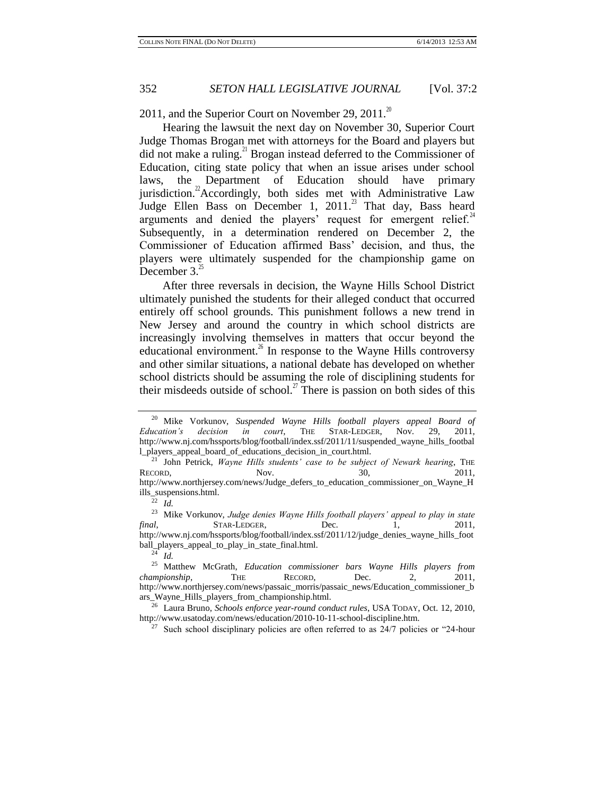2011, and the Superior Court on November 29, 2011.<sup>20</sup>

Hearing the lawsuit the next day on November 30, Superior Court Judge Thomas Brogan met with attorneys for the Board and players but did not make a ruling.<sup>21</sup> Brogan instead deferred to the Commissioner of Education, citing state policy that when an issue arises under school laws, the Department of Education should have primary jurisdiction.<sup>22</sup>Accordingly, both sides met with Administrative Law Judge Ellen Bass on December 1,  $2011.^{23}$  That day, Bass heard arguments and denied the players' request for emergent relief. $44$ Subsequently, in a determination rendered on December 2, the Commissioner of Education affirmed Bass' decision, and thus, the players were ultimately suspended for the championship game on December  $3<sup>2</sup>$ 

<span id="page-3-0"></span>After three reversals in decision, the Wayne Hills School District ultimately punished the students for their alleged conduct that occurred entirely off school grounds. This punishment follows a new trend in New Jersey and around the country in which school districts are increasingly involving themselves in matters that occur beyond the educational environment.<sup>26</sup> In response to the Wayne Hills controversy and other similar situations, a national debate has developed on whether school districts should be assuming the role of disciplining students for their misdeeds outside of school.<sup>27</sup> There is passion on both sides of this

<sup>20</sup> Mike Vorkunov, *Suspended Wayne Hills football players appeal Board of Education's decision in court*, THE STAR-LEDGER, Nov. 29, 2011, http://www.nj.com/hssports/blog/football/index.ssf/2011/11/suspended\_wayne\_hills\_footbal l\_players\_appeal\_board\_of\_educations\_decision\_in\_court.html.

<sup>21</sup> John Petrick, *Wayne Hills students' case to be subject of Newark hearing*, THE RECORD, Nov. 30, 2011, http://www.northjersey.com/news/Judge\_defers\_to\_education\_commissioner\_on\_Wayne\_H ills\_suspensions.html.

 $\overline{22}$  *Id.* 

<sup>23</sup> Mike Vorkunov, *Judge denies Wayne Hills football players' appeal to play in state final*, **STAR-LEDGER, Dec.** 1, 2011, http://www.nj.com/hssports/blog/football/index.ssf/2011/12/judge\_denies\_wayne\_hills\_foot ball\_players\_appeal\_to\_play\_in\_state\_final.html.

 $24$  *Id.* 

<sup>25</sup> Matthew McGrath, *Education commissioner bars Wayne Hills players from championship*, THE RECORD, Dec. 2, 2011, http://www.northjersey.com/news/passaic\_morris/passaic\_news/Education\_commissioner\_b ars\_Wayne\_Hills\_players\_from\_championship.html.

<sup>26</sup> Laura Bruno, *Schools enforce year-round conduct rules*, USA TODAY, Oct. 12, 2010, http://www.usatoday.com/news/education/2010-10-11-school-discipline.htm.

<sup>&</sup>lt;sup>27</sup> Such school disciplinary policies are often referred to as  $24/7$  policies or "24-hour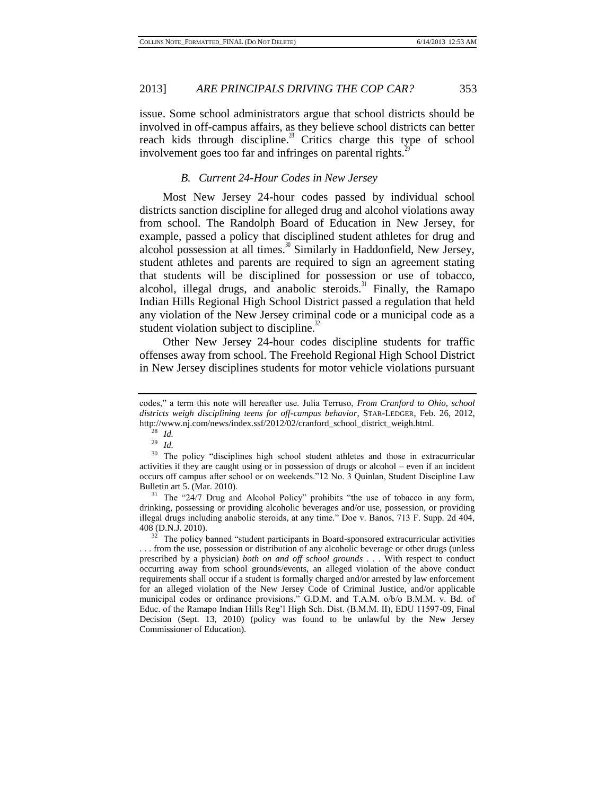issue. Some school administrators argue that school districts should be involved in off-campus affairs, as they believe school districts can better reach kids through discipline.<sup>28</sup> Critics charge this type of school involvement goes too far and infringes on parental rights.

#### *B. Current 24-Hour Codes in New Jersey*

Most New Jersey 24-hour codes passed by individual school districts sanction discipline for alleged drug and alcohol violations away from school. The Randolph Board of Education in New Jersey, for example, passed a policy that disciplined student athletes for drug and alcohol possession at all times.<sup>30</sup> Similarly in Haddonfield, New Jersey, student athletes and parents are required to sign an agreement stating that students will be disciplined for possession or use of tobacco, alcohol, illegal drugs, and anabolic steroids. $31$  Finally, the Ramapo Indian Hills Regional High School District passed a regulation that held any violation of the New Jersey criminal code or a municipal code as a student violation subject to discipline. $32$ 

Other New Jersey 24-hour codes discipline students for traffic offenses away from school. The Freehold Regional High School District in New Jersey disciplines students for motor vehicle violations pursuant

<sup>31</sup> The "24/7 Drug and Alcohol Policy" prohibits "the use of tobacco in any form, drinking, possessing or providing alcoholic beverages and/or use, possession, or providing illegal drugs including anabolic steroids, at any time." Doe v. Banos, 713 F. Supp. 2d 404, 408 (D.N.J. 2010).

codes," a term this note will hereafter use. Julia Terruso, *From Cranford to Ohio, school districts weigh disciplining teens for off-campus behavior*, STAR-LEDGER, Feb. 26, 2012, http://www.nj.com/news/index.ssf/2012/02/cranford\_school\_district\_weigh.html.

<sup>28</sup> *Id.*

<sup>29</sup> *Id.*

<sup>&</sup>lt;sup>30</sup> The policy "disciplines high school student athletes and those in extracurricular activities if they are caught using or in possession of drugs or alcohol – even if an incident occurs off campus after school or on weekends."12 No. 3 Quinlan, Student Discipline Law Bulletin art 5. (Mar. 2010).

 $32$  The policy banned "student participants in Board-sponsored extracurricular activities . . . from the use, possession or distribution of any alcoholic beverage or other drugs (unless prescribed by a physician) *both on and off school grounds* . . . With respect to conduct occurring away from school grounds/events, an alleged violation of the above conduct requirements shall occur if a student is formally charged and/or arrested by law enforcement for an alleged violation of the New Jersey Code of Criminal Justice, and/or applicable municipal codes or ordinance provisions." G.D.M. and T.A.M. o/b/o B.M.M. v. Bd. of Educ. of the Ramapo Indian Hills Reg'l High Sch. Dist. (B.M.M. II), EDU 11597-09, Final Decision (Sept. 13, 2010) (policy was found to be unlawful by the New Jersey Commissioner of Education).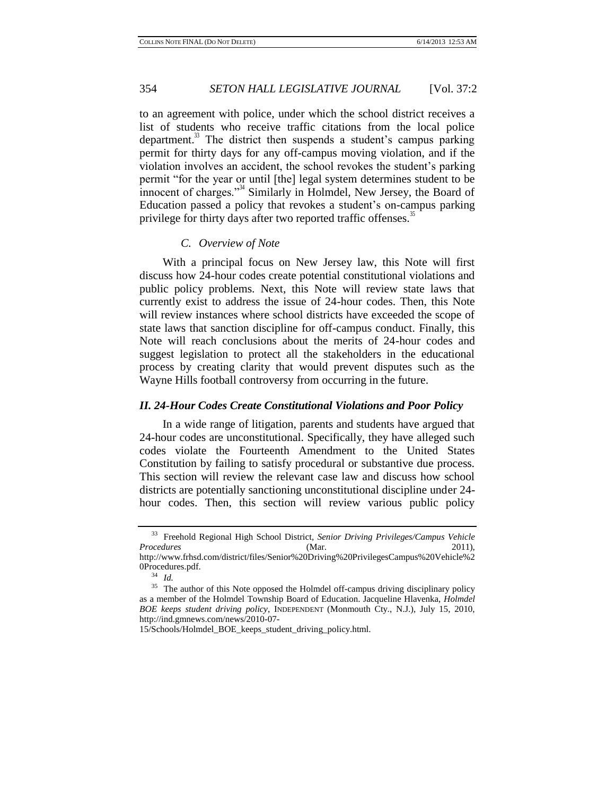to an agreement with police, under which the school district receives a list of students who receive traffic citations from the local police department.<sup>33</sup> The district then suspends a student's campus parking permit for thirty days for any off-campus moving violation, and if the violation involves an accident, the school revokes the student's parking permit "for the year or until [the] legal system determines student to be innocent of charges."<sup>34</sup> Similarly in Holmdel, New Jersey, the Board of Education passed a policy that revokes a student's on-campus parking privilege for thirty days after two reported traffic offenses.<sup>35</sup>

### <span id="page-5-0"></span>*C. Overview of Note*

With a principal focus on New Jersey law, this Note will first discuss how 24-hour codes create potential constitutional violations and public policy problems. Next, this Note will review state laws that currently exist to address the issue of 24-hour codes. Then, this Note will review instances where school districts have exceeded the scope of state laws that sanction discipline for off-campus conduct. Finally, this Note will reach conclusions about the merits of 24-hour codes and suggest legislation to protect all the stakeholders in the educational process by creating clarity that would prevent disputes such as the Wayne Hills football controversy from occurring in the future.

#### *II. 24-Hour Codes Create Constitutional Violations and Poor Policy*

In a wide range of litigation, parents and students have argued that 24-hour codes are unconstitutional. Specifically, they have alleged such codes violate the Fourteenth Amendment to the United States Constitution by failing to satisfy procedural or substantive due process. This section will review the relevant case law and discuss how school districts are potentially sanctioning unconstitutional discipline under 24 hour codes. Then, this section will review various public policy

<sup>33</sup> Freehold Regional High School District, *Senior Driving Privileges/Campus Vehicle Procedures* (Mar. 2011), http://www.frhsd.com/district/files/Senior%20Driving%20PrivilegesCampus%20Vehicle%2 0Procedures.pdf.

<sup>34</sup> *Id.*

<sup>&</sup>lt;sup>35</sup> The author of this Note opposed the Holmdel off-campus driving disciplinary policy as a member of the Holmdel Township Board of Education. Jacqueline Hlavenka, *Holmdel BOE keeps student driving policy*, INDEPENDENT (Monmouth Cty., N.J.), July 15, 2010, http://ind.gmnews.com/news/2010-07-

<sup>15/</sup>Schools/Holmdel\_BOE\_keeps\_student\_driving\_policy.html.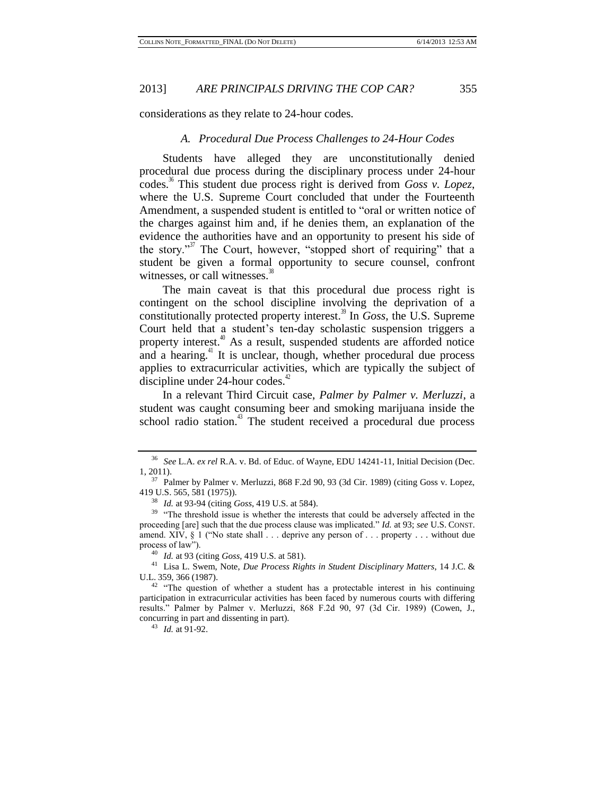considerations as they relate to 24-hour codes.

### *A. Procedural Due Process Challenges to 24-Hour Codes*

Students have alleged they are unconstitutionally denied procedural due process during the disciplinary process under 24-hour codes.<sup>36</sup> This student due process right is derived from *Goss v. Lopez*, where the U.S. Supreme Court concluded that under the Fourteenth Amendment, a suspended student is entitled to "oral or written notice of the charges against him and, if he denies them, an explanation of the evidence the authorities have and an opportunity to present his side of the story."<sup>37</sup> The Court, however, "stopped short of requiring" that a student be given a formal opportunity to secure counsel, confront witnesses, or call witnesses. $\frac{3}{8}$ 

The main caveat is that this procedural due process right is contingent on the school discipline involving the deprivation of a constitutionally protected property interest.<sup>39</sup> In *Goss*, the U.S. Supreme Court held that a student's ten-day scholastic suspension triggers a property interest. $40$  As a result, suspended students are afforded notice and a hearing.<sup>41</sup> It is unclear, though, whether procedural due process applies to extracurricular activities, which are typically the subject of discipline under 24-hour codes. $42$ 

<span id="page-6-0"></span>In a relevant Third Circuit case, *Palmer by Palmer v. Merluzzi*, a student was caught consuming beer and smoking marijuana inside the school radio station. $43$  The student received a procedural due process

<sup>43</sup> *Id.* at 91-92.

<sup>36</sup> *See* L.A. *ex rel* R.A. v. Bd. of Educ. of Wayne, EDU 14241-11, Initial Decision (Dec. 1, 2011).

<sup>37</sup> Palmer by Palmer v. Merluzzi, 868 F.2d 90, 93 (3d Cir. 1989) (citing Goss v. Lopez, 419 U.S. 565, 581 (1975)).

<sup>38</sup> *Id.* at 93-94 (citing *Goss*, 419 U.S. at 584).

<sup>&</sup>lt;sup>39</sup> "The threshold issue is whether the interests that could be adversely affected in the proceeding [are] such that the due process clause was implicated." *Id.* at 93; *see* U.S. CONST. amend. XIV, § 1 ("No state shall . . . deprive any person of . . . property . . . without due process of law").

<sup>40</sup> *Id.* at 93 (citing *Goss*, 419 U.S. at 581).

<sup>41</sup> Lisa L. Swem, Note, *Due Process Rights in Student Disciplinary Matters*, 14 J.C. & U.L. 359, 366 (1987).

<sup>&</sup>lt;sup>42</sup> "The question of whether a student has a protectable interest in his continuing participation in extracurricular activities has been faced by numerous courts with differing results." Palmer by Palmer v. Merluzzi, 868 F.2d 90, 97 (3d Cir. 1989) (Cowen, J., concurring in part and dissenting in part).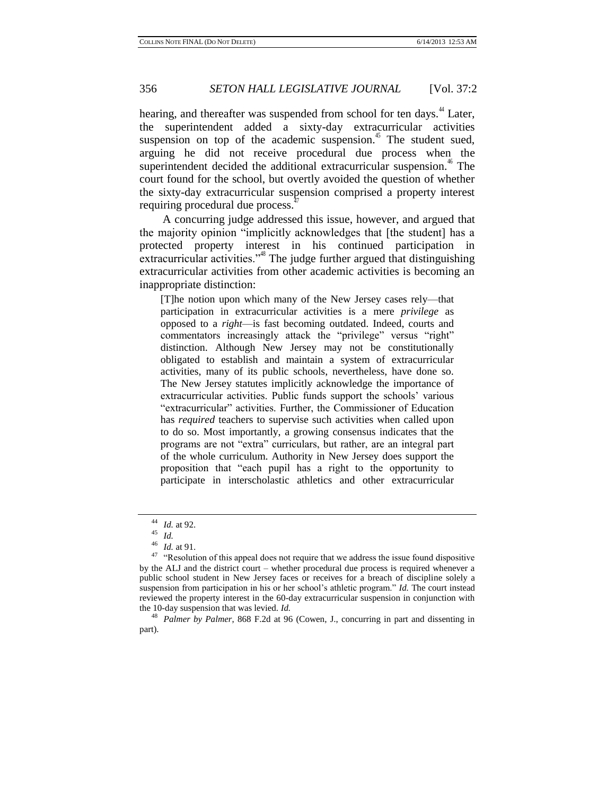hearing, and thereafter was suspended from school for ten days.<sup>44</sup> Later, the superintendent added a sixty-day extracurricular activities suspension on top of the academic suspension.<sup>45</sup> The student sued, arguing he did not receive procedural due process when the superintendent decided the additional extracurricular suspension.<sup>46</sup> The court found for the school, but overtly avoided the question of whether the sixty-day extracurricular suspension comprised a property interest requiring procedural due process.<sup>4</sup>

A concurring judge addressed this issue, however, and argued that the majority opinion "implicitly acknowledges that [the student] has a protected property interest in his continued participation in extracurricular activities."<sup>48</sup> The judge further argued that distinguishing extracurricular activities from other academic activities is becoming an inappropriate distinction:

[T]he notion upon which many of the New Jersey cases rely—that participation in extracurricular activities is a mere *privilege* as opposed to a *right*—is fast becoming outdated. Indeed, courts and commentators increasingly attack the "privilege" versus "right" distinction. Although New Jersey may not be constitutionally obligated to establish and maintain a system of extracurricular activities, many of its public schools, nevertheless, have done so. The New Jersey statutes implicitly acknowledge the importance of extracurricular activities. Public funds support the schools' various "extracurricular" activities. Further, the Commissioner of Education has *required* teachers to supervise such activities when called upon to do so. Most importantly, a growing consensus indicates that the programs are not "extra" curriculars, but rather, are an integral part of the whole curriculum. Authority in New Jersey does support the proposition that "each pupil has a right to the opportunity to participate in interscholastic athletics and other extracurricular

<sup>44</sup> *Id.* at 92.

<sup>45</sup> *Id.*

<sup>46</sup> *Id.* at 91.

 $47$  "Resolution of this appeal does not require that we address the issue found dispositive by the ALJ and the district court – whether procedural due process is required whenever a public school student in New Jersey faces or receives for a breach of discipline solely a suspension from participation in his or her school's athletic program." *Id.* The court instead reviewed the property interest in the 60-day extracurricular suspension in conjunction with the 10-day suspension that was levied. *Id.*

<sup>48</sup> *Palmer by Palmer*, 868 F.2d at 96 (Cowen, J., concurring in part and dissenting in part).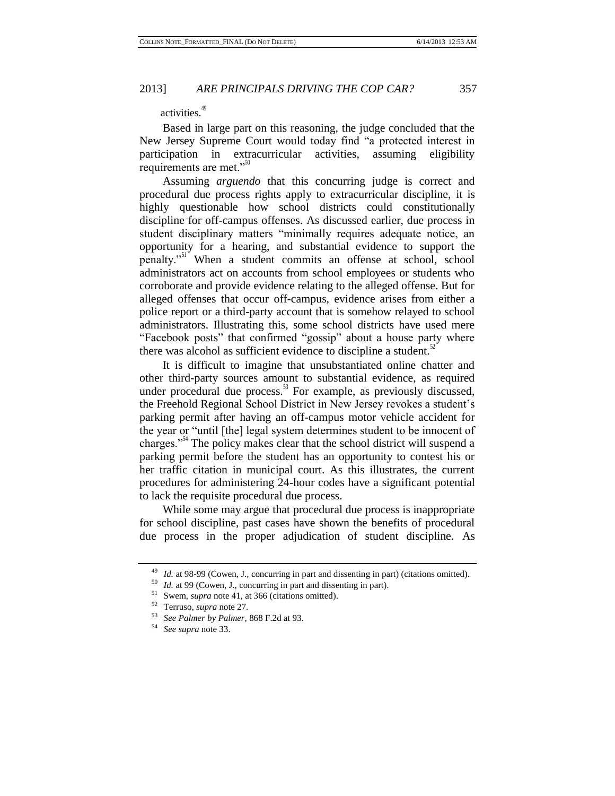# activities.<sup>49</sup>

Based in large part on this reasoning, the judge concluded that the New Jersey Supreme Court would today find "a protected interest in participation in extracurricular activities, assuming eligibility requirements are met."<sup>50</sup>

Assuming *arguendo* that this concurring judge is correct and procedural due process rights apply to extracurricular discipline, it is highly questionable how school districts could constitutionally discipline for off-campus offenses. As discussed earlier, due process in student disciplinary matters "minimally requires adequate notice, an opportunity for a hearing, and substantial evidence to support the penalty."<sup>51</sup> When a student commits an offense at school, school administrators act on accounts from school employees or students who corroborate and provide evidence relating to the alleged offense. But for alleged offenses that occur off-campus, evidence arises from either a police report or a third-party account that is somehow relayed to school administrators. Illustrating this, some school districts have used mere "Facebook posts" that confirmed "gossip" about a house party where there was alcohol as sufficient evidence to discipline a student. $52$ 

It is difficult to imagine that unsubstantiated online chatter and other third-party sources amount to substantial evidence, as required under procedural due process. $5<sup>5</sup>$  For example, as previously discussed, the Freehold Regional School District in New Jersey revokes a student's parking permit after having an off-campus motor vehicle accident for the year or "until [the] legal system determines student to be innocent of charges."<sup>54</sup> The policy makes clear that the school district will suspend a parking permit before the student has an opportunity to contest his or her traffic citation in municipal court. As this illustrates, the current procedures for administering 24-hour codes have a significant potential to lack the requisite procedural due process.

While some may argue that procedural due process is inappropriate for school discipline, past cases have shown the benefits of procedural due process in the proper adjudication of student discipline. As

<sup>49</sup> *Id.* at 98-99 (Cowen, J., concurring in part and dissenting in part) (citations omitted).

<sup>50</sup> *Id.* at 99 (Cowen, J., concurring in part and dissenting in part).

Swem, *supra* not[e 41,](#page-6-0) at 366 (citations omitted).

<sup>52</sup> Terruso, *supra* note 27.

<sup>53</sup> *See Palmer by Palmer*, 868 F.2d at 93.

<sup>54</sup> *See supra* note 33.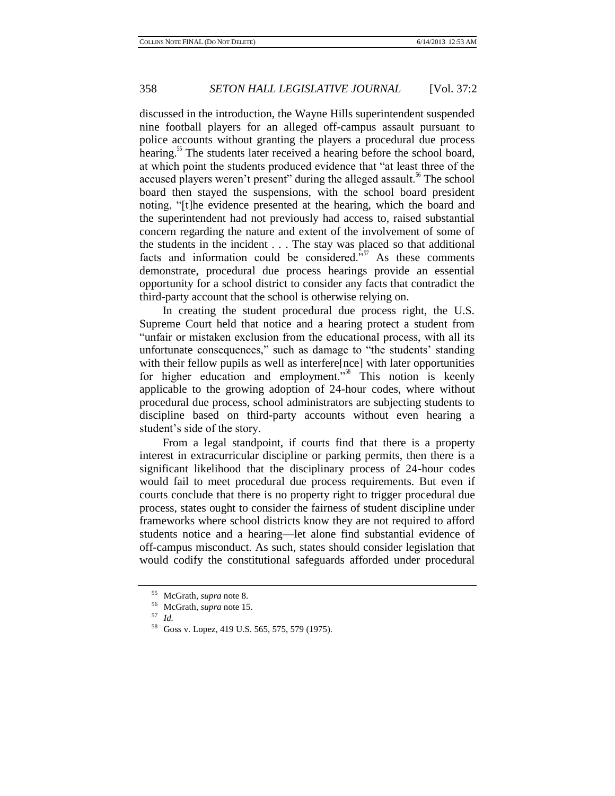discussed in the introduction, the Wayne Hills superintendent suspended nine football players for an alleged off-campus assault pursuant to police accounts without granting the players a procedural due process hearing.<sup>35</sup> The students later received a hearing before the school board, at which point the students produced evidence that "at least three of the accused players weren't present" during the alleged assault.<sup>56</sup> The school board then stayed the suspensions, with the school board president noting, "[t]he evidence presented at the hearing, which the board and the superintendent had not previously had access to, raised substantial concern regarding the nature and extent of the involvement of some of the students in the incident . . . The stay was placed so that additional facts and information could be considered. $\frac{557}{100}$  As these comments demonstrate, procedural due process hearings provide an essential opportunity for a school district to consider any facts that contradict the third-party account that the school is otherwise relying on.

In creating the student procedural due process right, the U.S. Supreme Court held that notice and a hearing protect a student from "unfair or mistaken exclusion from the educational process, with all its unfortunate consequences," such as damage to "the students' standing with their fellow pupils as well as interfere [nce] with later opportunities for higher education and employment."<sup>58</sup> This notion is keenly applicable to the growing adoption of 24-hour codes, where without procedural due process, school administrators are subjecting students to discipline based on third-party accounts without even hearing a student's side of the story.

From a legal standpoint, if courts find that there is a property interest in extracurricular discipline or parking permits, then there is a significant likelihood that the disciplinary process of 24-hour codes would fail to meet procedural due process requirements. But even if courts conclude that there is no property right to trigger procedural due process, states ought to consider the fairness of student discipline under frameworks where school districts know they are not required to afford students notice and a hearing—let alone find substantial evidence of off-campus misconduct. As such, states should consider legislation that would codify the constitutional safeguards afforded under procedural

<sup>55</sup> McGrath, *supra* note 8.

<sup>56</sup> McGrath, *supra* note 15.

<sup>57</sup> *Id.*

<sup>58</sup> Goss v. Lopez, 419 U.S. 565, 575, 579 (1975).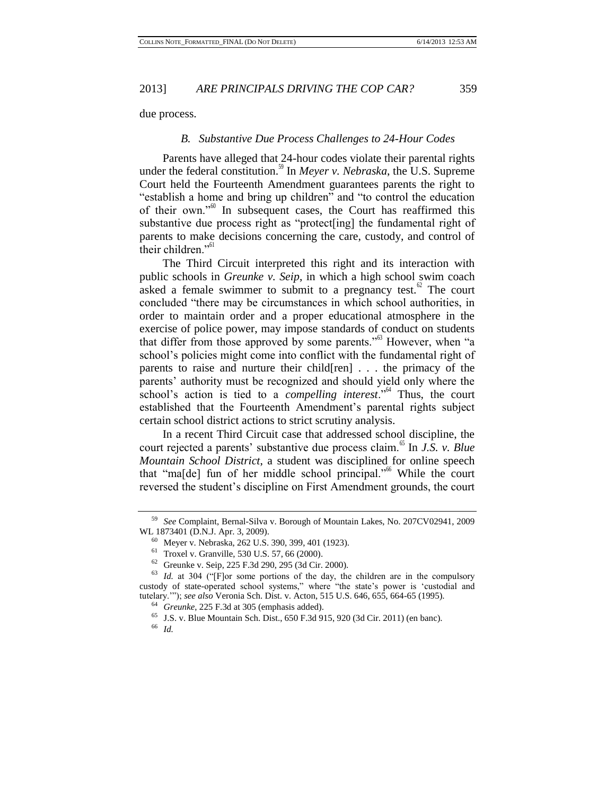due process.

#### *B. Substantive Due Process Challenges to 24-Hour Codes*

Parents have alleged that 24-hour codes violate their parental rights under the federal constitution.<sup>39</sup> In *Meyer v. Nebraska*, the U.S. Supreme Court held the Fourteenth Amendment guarantees parents the right to "establish a home and bring up children" and "to control the education of their own."<sup>60</sup> In subsequent cases, the Court has reaffirmed this substantive due process right as "protect[ing] the fundamental right of parents to make decisions concerning the care, custody, and control of their children." $61$ 

The Third Circuit interpreted this right and its interaction with public schools in *Greunke v. Seip*, in which a high school swim coach asked a female swimmer to submit to a pregnancy test. $^{\circ}$  The court concluded "there may be circumstances in which school authorities, in order to maintain order and a proper educational atmosphere in the exercise of police power, may impose standards of conduct on students that differ from those approved by some parents."<sup>63</sup> However, when "a school's policies might come into conflict with the fundamental right of parents to raise and nurture their child[ren] . . . the primacy of the parents' authority must be recognized and should yield only where the school's action is tied to a *compelling interest*.<sup>"64</sup> Thus, the court established that the Fourteenth Amendment's parental rights subject certain school district actions to strict scrutiny analysis.

In a recent Third Circuit case that addressed school discipline, the court rejected a parents' substantive due process claim.<sup>65</sup> In *J.S. v. Blue Mountain School District*, a student was disciplined for online speech that "ma[de] fun of her middle school principal."<sup>66</sup> While the court reversed the student's discipline on First Amendment grounds, the court

<sup>59</sup> *See* Complaint, Bernal-Silva v. Borough of Mountain Lakes, No. 207CV02941, 2009 WL 1873401 (D.N.J. Apr. 3, 2009).

<sup>60</sup> Meyer v. Nebraska, 262 U.S. 390, 399, 401 (1923).

<sup>61</sup> Troxel v. Granville, 530 U.S. 57, 66 (2000).

<sup>62</sup> Greunke v. Seip, 225 F.3d 290, 295 (3d Cir. 2000).

<sup>63</sup> *Id.* at 304 ("[F]or some portions of the day, the children are in the compulsory custody of state-operated school systems," where "the state's power is 'custodial and tutelary.'"); *see also* Veronia Sch. Dist. v. Acton, 515 U.S. 646, 655, 664-65 (1995).

<sup>64</sup> *Greunke*, 225 F.3d at 305 (emphasis added).

<sup>65</sup> J.S. v. Blue Mountain Sch. Dist., 650 F.3d 915, 920 (3d Cir. 2011) (en banc).

<sup>66</sup> *Id.*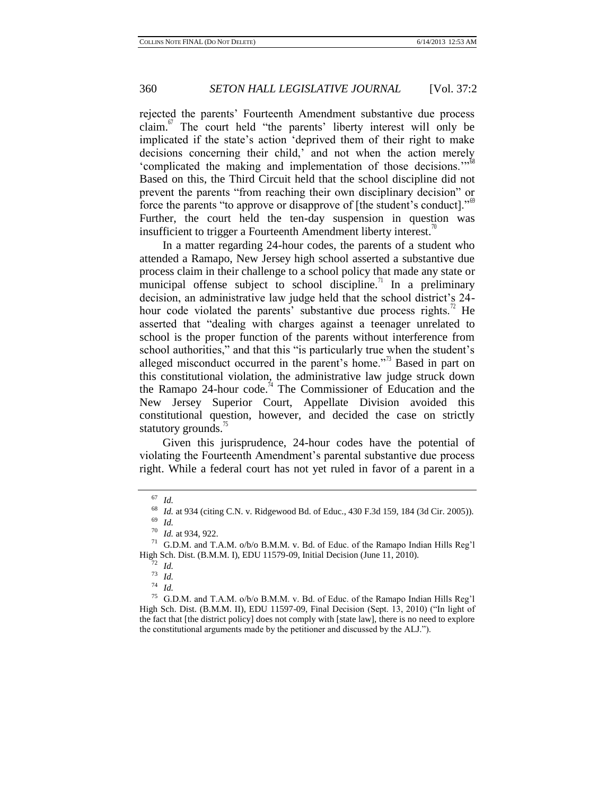rejected the parents' Fourteenth Amendment substantive due process claim. $\frac{67}{10}$  The court held "the parents' liberty interest will only be implicated if the state's action 'deprived them of their right to make decisions concerning their child,' and not when the action merely 'complicated the making and implementation of those decisions."<sup>68</sup> Based on this, the Third Circuit held that the school discipline did not prevent the parents "from reaching their own disciplinary decision" or force the parents "to approve or disapprove of [the student's conduct]."<sup>69</sup> Further, the court held the ten-day suspension in question was insufficient to trigger a Fourteenth Amendment liberty interest.<sup>70</sup>

In a matter regarding 24-hour codes, the parents of a student who attended a Ramapo, New Jersey high school asserted a substantive due process claim in their challenge to a school policy that made any state or municipal offense subject to school discipline.<sup>71</sup> In a preliminary decision, an administrative law judge held that the school district's 24 hour code violated the parents' substantive due process rights.<sup>72</sup> He asserted that "dealing with charges against a teenager unrelated to school is the proper function of the parents without interference from school authorities," and that this "is particularly true when the student's alleged misconduct occurred in the parent's home."<sup>73</sup> Based in part on this constitutional violation, the administrative law judge struck down the Ramapo 24-hour code.<sup>74</sup> The Commissioner of Education and the New Jersey Superior Court, Appellate Division avoided this constitutional question, however, and decided the case on strictly statutory grounds.<sup>15</sup>

Given this jurisprudence, 24-hour codes have the potential of violating the Fourteenth Amendment's parental substantive due process right. While a federal court has not yet ruled in favor of a parent in a

<sup>67</sup> *Id.*

<sup>68</sup> *Id.* at 934 (citing C.N. v. Ridgewood Bd. of Educ., 430 F.3d 159, 184 (3d Cir. 2005)).

<sup>69</sup> *Id.*

<sup>70</sup> *Id.* at 934, 922.

<sup>71</sup> G.D.M. and T.A.M. o/b/o B.M.M. v. Bd. of Educ. of the Ramapo Indian Hills Reg'l High Sch. Dist. (B.M.M. I), EDU 11579-09, Initial Decision (June 11, 2010).

<sup>72</sup> *Id.*

<sup>73</sup> *Id.*

<sup>74</sup> *Id.*

<sup>75</sup> G.D.M. and T.A.M. o/b/o B.M.M. v. Bd. of Educ. of the Ramapo Indian Hills Reg'l High Sch. Dist. (B.M.M. II), EDU 11597-09, Final Decision (Sept. 13, 2010) ("In light of the fact that [the district policy] does not comply with [state law], there is no need to explore the constitutional arguments made by the petitioner and discussed by the ALJ.").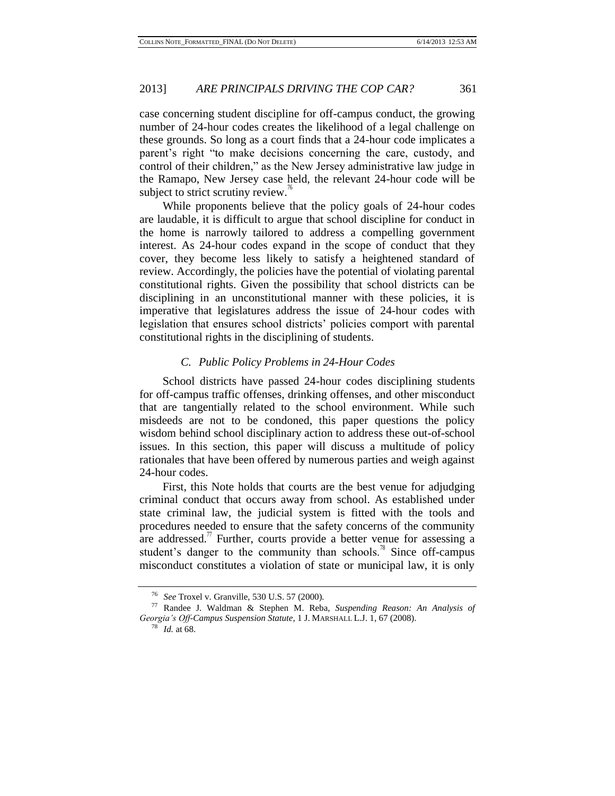case concerning student discipline for off-campus conduct, the growing number of 24-hour codes creates the likelihood of a legal challenge on these grounds. So long as a court finds that a 24-hour code implicates a parent's right "to make decisions concerning the care, custody, and control of their children," as the New Jersey administrative law judge in the Ramapo, New Jersey case held, the relevant 24-hour code will be subject to strict scrutiny review. $\degree$ 

While proponents believe that the policy goals of 24-hour codes are laudable, it is difficult to argue that school discipline for conduct in the home is narrowly tailored to address a compelling government interest. As 24-hour codes expand in the scope of conduct that they cover, they become less likely to satisfy a heightened standard of review. Accordingly, the policies have the potential of violating parental constitutional rights. Given the possibility that school districts can be disciplining in an unconstitutional manner with these policies, it is imperative that legislatures address the issue of 24-hour codes with legislation that ensures school districts' policies comport with parental constitutional rights in the disciplining of students.

### *C. Public Policy Problems in 24-Hour Codes*

School districts have passed 24-hour codes disciplining students for off-campus traffic offenses, drinking offenses, and other misconduct that are tangentially related to the school environment. While such misdeeds are not to be condoned, this paper questions the policy wisdom behind school disciplinary action to address these out-of-school issues. In this section, this paper will discuss a multitude of policy rationales that have been offered by numerous parties and weigh against 24-hour codes.

First, this Note holds that courts are the best venue for adjudging criminal conduct that occurs away from school. As established under state criminal law, the judicial system is fitted with the tools and procedures needed to ensure that the safety concerns of the community are addressed.<sup> $\prime\prime$ </sup> Further, courts provide a better venue for assessing a student's danger to the community than schools.<sup>78</sup> Since off-campus misconduct constitutes a violation of state or municipal law, it is only

<span id="page-12-0"></span><sup>76</sup> *See* Troxel v. Granville, 530 U.S. 57 (2000).

<sup>77</sup> Randee J. Waldman & Stephen M. Reba, *Suspending Reason: An Analysis of Georgia's Off-Campus Suspension Statute*, 1 J. MARSHALL L.J. 1, 67 (2008).

<sup>78</sup> *Id.* at 68.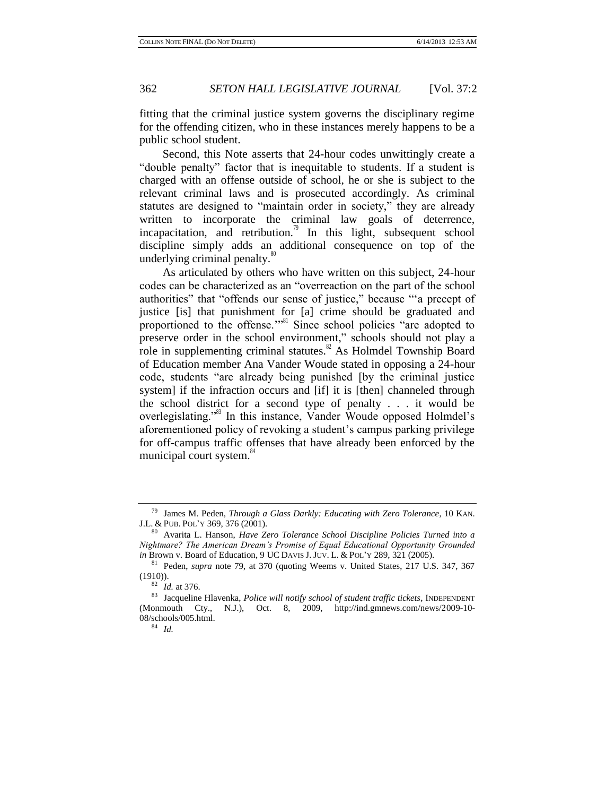fitting that the criminal justice system governs the disciplinary regime for the offending citizen, who in these instances merely happens to be a public school student.

Second, this Note asserts that 24-hour codes unwittingly create a "double penalty" factor that is inequitable to students. If a student is charged with an offense outside of school, he or she is subject to the relevant criminal laws and is prosecuted accordingly. As criminal statutes are designed to "maintain order in society," they are already written to incorporate the criminal law goals of deterrence, incapacitation, and retribution.<sup>79</sup> In this light, subsequent school discipline simply adds an additional consequence on top of the underlying criminal penalty.<sup>80</sup>

<span id="page-13-0"></span>As articulated by others who have written on this subject, 24-hour codes can be characterized as an "overreaction on the part of the school authorities" that "offends our sense of justice," because "'a precept of justice [is] that punishment for [a] crime should be graduated and proportioned to the offense."<sup>81</sup> Since school policies "are adopted to preserve order in the school environment," schools should not play a role in supplementing criminal statutes. $8^{\circ}$  As Holmdel Township Board of Education member Ana Vander Woude stated in opposing a 24-hour code, students "are already being punished [by the criminal justice system] if the infraction occurs and [if] it is [then] channeled through the school district for a second type of penalty . . . it would be overlegislating."<sup>83</sup> In this instance, Vander Woude opposed Holmdel's aforementioned policy of revoking a student's campus parking privilege for off-campus traffic offenses that have already been enforced by the municipal court system.<sup>84</sup>

<span id="page-13-1"></span><sup>79</sup> James M. Peden, *Through a Glass Darkly: Educating with Zero Tolerance*, 10 KAN. J.L. & PUB. POL'Y 369, 376 (2001).

<sup>80</sup> Avarita L. Hanson, *Have Zero Tolerance School Discipline Policies Turned into a Nightmare? The American Dream's Promise of Equal Educational Opportunity Grounded in* Brown v. Board of Education, 9 UC DAVIS J. JUV. L. & POL'Y 289, 321 (2005).

<sup>81</sup> Peden, *supra* note 79, at 370 (quoting Weems v. United States, 217 U.S. 347, 367  $(1910)$ ).

<sup>82</sup> *Id.* at 376.

<sup>83</sup> Jacqueline Hlavenka, *Police will notify school of student traffic tickets*, INDEPENDENT (Monmouth Cty., N.J.), Oct. 8, 2009, http://ind.gmnews.com/news/2009-10- 08/schools/005.html.

<sup>84</sup> *Id.*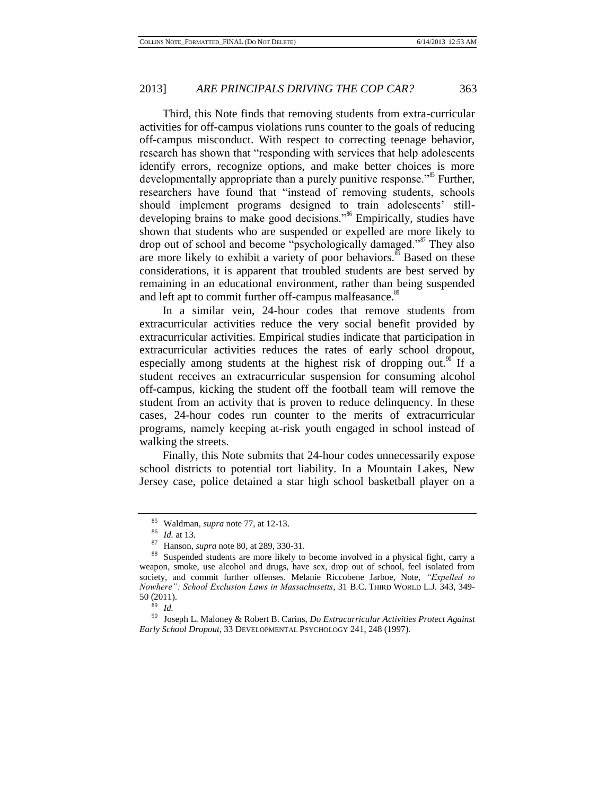Third, this Note finds that removing students from extra-curricular activities for off-campus violations runs counter to the goals of reducing off-campus misconduct. With respect to correcting teenage behavior, research has shown that "responding with services that help adolescents identify errors, recognize options, and make better choices is more developmentally appropriate than a purely punitive response."<sup>85</sup> Further, researchers have found that "instead of removing students, schools should implement programs designed to train adolescents' stilldeveloping brains to make good decisions."<sup>86</sup> Empirically, studies have shown that students who are suspended or expelled are more likely to drop out of school and become "psychologically damaged."<sup>87</sup> They also are more likely to exhibit a variety of poor behaviors.<sup>88</sup> Based on these considerations, it is apparent that troubled students are best served by remaining in an educational environment, rather than being suspended and left apt to commit further off-campus malfeasance.<sup>89</sup>

<span id="page-14-0"></span>In a similar vein, 24-hour codes that remove students from extracurricular activities reduce the very social benefit provided by extracurricular activities. Empirical studies indicate that participation in extracurricular activities reduces the rates of early school dropout, especially among students at the highest risk of dropping out.<sup>90</sup> If a student receives an extracurricular suspension for consuming alcohol off-campus, kicking the student off the football team will remove the student from an activity that is proven to reduce delinquency. In these cases, 24-hour codes run counter to the merits of extracurricular programs, namely keeping at-risk youth engaged in school instead of walking the streets.

Finally, this Note submits that 24-hour codes unnecessarily expose school districts to potential tort liability. In a Mountain Lakes, New Jersey case, police detained a star high school basketball player on a

<sup>85</sup> Waldman, *supra* note [77,](#page-12-0) at 12-13.

<sup>86</sup> *Id.* at 13.

<sup>87</sup> Hanson, *supra* not[e 80,](#page-13-0) at 289, 330-31.

<sup>88</sup> Suspended students are more likely to become involved in a physical fight, carry a weapon, smoke, use alcohol and drugs, have sex, drop out of school, feel isolated from society, and commit further offenses. Melanie Riccobene Jarboe, Note, *"Expelled to Nowhere": School Exclusion Laws in Massachusetts*, 31 B.C. THIRD WORLD L.J. 343, 349- 50 (2011).

<sup>89</sup> *Id.*

<sup>90</sup> Joseph L. Maloney & Robert B. Carins, *Do Extracurricular Activities Protect Against Early School Dropout*, 33 DEVELOPMENTAL PSYCHOLOGY 241, 248 (1997).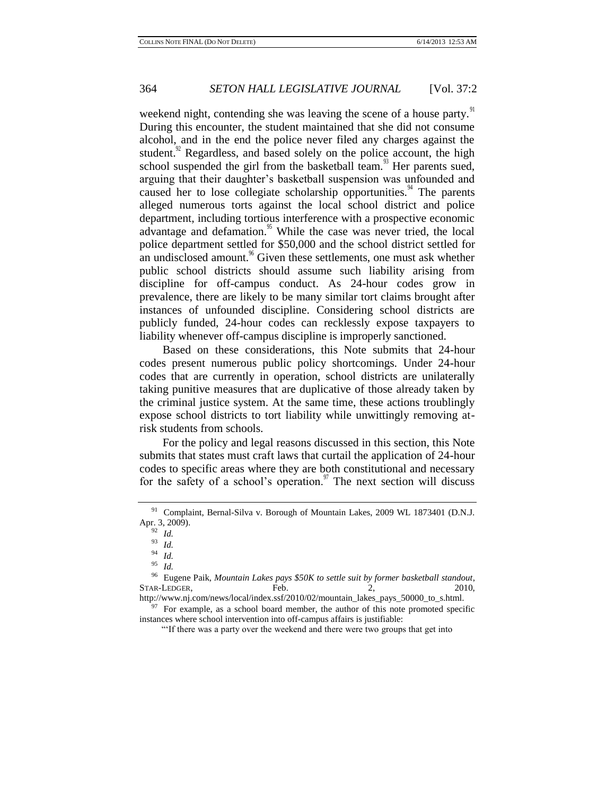weekend night, contending she was leaving the scene of a house party.<sup>91</sup> During this encounter, the student maintained that she did not consume alcohol, and in the end the police never filed any charges against the student.<sup>92</sup> Regardless, and based solely on the police account, the high school suspended the girl from the basketball team.<sup>93</sup> Her parents sued, arguing that their daughter's basketball suspension was unfounded and caused her to lose collegiate scholarship opportunities.<sup> $4$ </sup> The parents alleged numerous torts against the local school district and police department, including tortious interference with a prospective economic advantage and defamation.<sup>95</sup> While the case was never tried, the local police department settled for \$50,000 and the school district settled for an undisclosed amount.<sup>96</sup> Given these settlements, one must ask whether public school districts should assume such liability arising from discipline for off-campus conduct. As 24-hour codes grow in prevalence, there are likely to be many similar tort claims brought after instances of unfounded discipline. Considering school districts are publicly funded, 24-hour codes can recklessly expose taxpayers to liability whenever off-campus discipline is improperly sanctioned.

Based on these considerations, this Note submits that 24-hour codes present numerous public policy shortcomings. Under 24-hour codes that are currently in operation, school districts are unilaterally taking punitive measures that are duplicative of those already taken by the criminal justice system. At the same time, these actions troublingly expose school districts to tort liability while unwittingly removing atrisk students from schools.

For the policy and legal reasons discussed in this section, this Note submits that states must craft laws that curtail the application of 24-hour codes to specific areas where they are both constitutional and necessary for the safety of a school's operation.<sup>97</sup> The next section will discuss

 $97$  For example, as a school board member, the author of this note promoted specific

<sup>&</sup>lt;sup>91</sup> Complaint, Bernal-Silva v. Borough of Mountain Lakes, 2009 WL 1873401 (D.N.J. Apr. 3, 2009).

<sup>92</sup> *Id.*

<sup>93</sup> *Id.*

<sup>94</sup> *Id.*

<sup>95</sup> *Id.*

<sup>96</sup> Eugene Paik, *Mountain Lakes pays \$50K to settle suit by former basketball standout*, STAR-LEDGER, Feb. 2, 2010, http://www.nj.com/news/local/index.ssf/2010/02/mountain\_lakes\_pays\_50000\_to\_s.html.

instances where school intervention into off-campus affairs is justifiable:

<sup>&</sup>quot;'If there was a party over the weekend and there were two groups that get into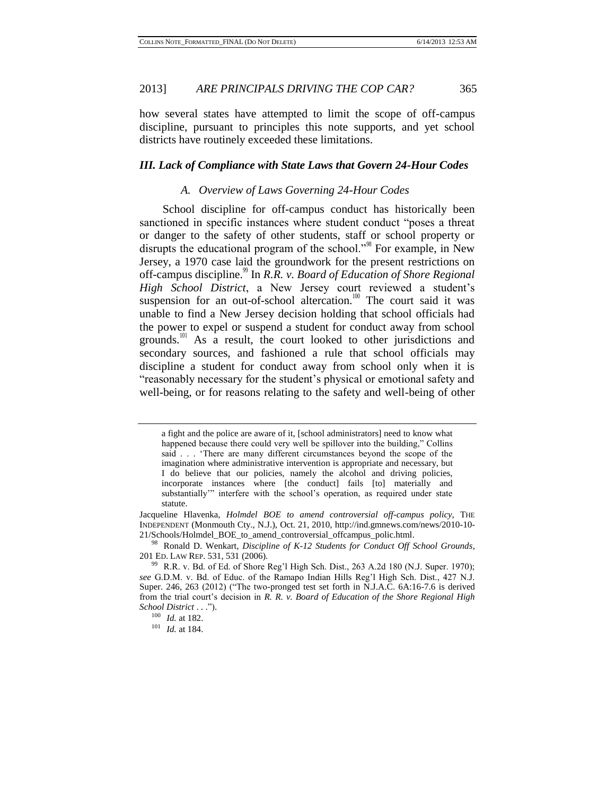how several states have attempted to limit the scope of off-campus discipline, pursuant to principles this note supports, and yet school districts have routinely exceeded these limitations.

## *III. Lack of Compliance with State Laws that Govern 24-Hour Codes*

#### *A. Overview of Laws Governing 24-Hour Codes*

School discipline for off-campus conduct has historically been sanctioned in specific instances where student conduct "poses a threat or danger to the safety of other students, staff or school property or disrupts the educational program of the school."<sup>98</sup> For example, in New Jersey, a 1970 case laid the groundwork for the present restrictions on off-campus discipline.<sup>99</sup> In *R.R. v. Board of Education of Shore Regional High School District*, a New Jersey court reviewed a student's suspension for an out-of-school altercation.<sup>100</sup> The court said it was unable to find a New Jersey decision holding that school officials had the power to expel or suspend a student for conduct away from school grounds.<sup>101</sup> As a result, the court looked to other jurisdictions and secondary sources, and fashioned a rule that school officials may discipline a student for conduct away from school only when it is "reasonably necessary for the student's physical or emotional safety and well-being, or for reasons relating to the safety and well-being of other

a fight and the police are aware of it, [school administrators] need to know what happened because there could very well be spillover into the building," Collins said . . . 'There are many different circumstances beyond the scope of the imagination where administrative intervention is appropriate and necessary, but I do believe that our policies, namely the alcohol and driving policies, incorporate instances where [the conduct] fails [to] materially and substantially'" interfere with the school's operation, as required under state statute.

Jacqueline Hlavenka, *Holmdel BOE to amend controversial off-campus policy*, THE INDEPENDENT (Monmouth Cty., N.J.), Oct. 21, 2010, [http://ind.gmnews.com/news/2010-10-](http://ind.gmnews.com/news/2010-10-21/Schools/Holmdel_BOE_to_amend_controversial_offcampus_polic.html) [21/Schools/Holmdel\\_BOE\\_to\\_amend\\_controversial\\_offcampus\\_polic.html.](http://ind.gmnews.com/news/2010-10-21/Schools/Holmdel_BOE_to_amend_controversial_offcampus_polic.html) 

<sup>98</sup> Ronald D. Wenkart, *Discipline of K-12 Students for Conduct Off School Grounds*, 201 ED. LAW REP. 531, 531 (2006).

<sup>99</sup> R.R. v. Bd. of Ed. of Shore Reg'l High Sch. Dist., 263 A.2d 180 (N.J. Super. 1970); *see* G.D.M. v. Bd. of Educ. of the Ramapo Indian Hills Reg'l High Sch. Dist., 427 N.J. Super. 246, 263 (2012) ("The two-pronged test set forth in N.J.A.C. 6A:16-7.6 is derived from the trial court's decision in *R. R. v. Board of Education of the Shore Regional High School District* . . .").

<sup>100</sup> *Id.* at 182.

<sup>101</sup> *Id.* at 184.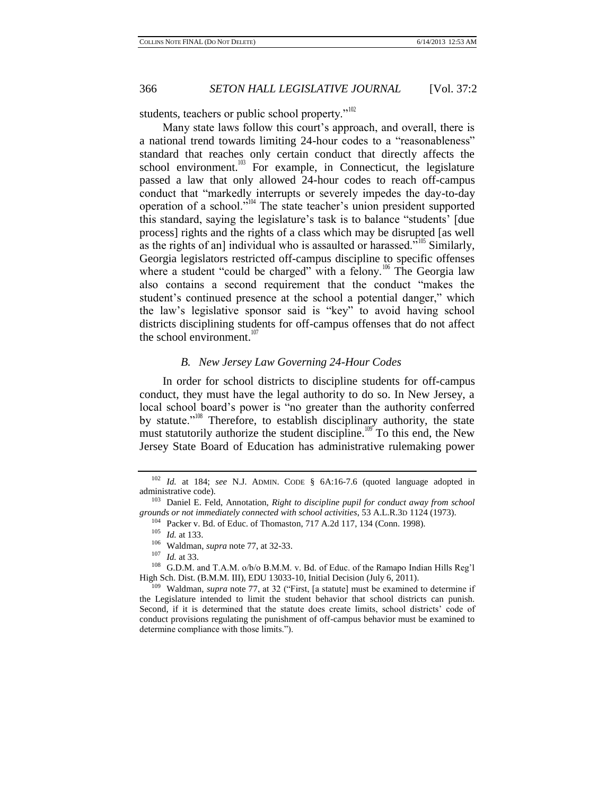students, teachers or public school property." $102$ 

Many state laws follow this court's approach, and overall, there is a national trend towards limiting 24-hour codes to a "reasonableness" standard that reaches only certain conduct that directly affects the school environment. $103$  For example, in Connecticut, the legislature passed a law that only allowed 24-hour codes to reach off-campus conduct that "markedly interrupts or severely impedes the day-to-day operation of a school."<sup>104</sup> The state teacher's union president supported this standard, saying the legislature's task is to balance "students' [due process] rights and the rights of a class which may be disrupted [as well as the rights of an] individual who is assaulted or harassed.<sup> $5\text{105}$ </sup> Similarly, Georgia legislators restricted off-campus discipline to specific offenses where a student "could be charged" with a felony.<sup>106</sup> The Georgia law also contains a second requirement that the conduct "makes the student's continued presence at the school a potential danger," which the law's legislative sponsor said is "key" to avoid having school districts disciplining students for off-campus offenses that do not affect the school environment. $107$ 

#### *B. New Jersey Law Governing 24-Hour Codes*

In order for school districts to discipline students for off-campus conduct, they must have the legal authority to do so. In New Jersey, a local school board's power is "no greater than the authority conferred by statute."<sup>108</sup> Therefore, to establish disciplinary authority, the state must statutorily authorize the student discipline.<sup>109</sup> To this end, the New Jersey State Board of Education has administrative rulemaking power

<sup>102</sup> *Id.* at 184; *see* N.J. ADMIN. CODE § 6A:16-7.6 (quoted language adopted in administrative code).

<sup>&</sup>lt;sup>103</sup> Daniel E. Feld, Annotation, *Right to discipline pupil for conduct away from school grounds or not immediately connected with school activities*, 53 A.L.R.3D 1124 (1973).

<sup>&</sup>lt;sup>104</sup> Packer v. Bd. of Educ. of Thomaston, 717 A.2d 117, 134 (Conn. 1998).

<sup>105</sup> *Id.* at 133.

<sup>106</sup> Waldman, *supra* note [77,](#page-12-0) at 32-33.

<sup>107</sup> *Id.* at 33.

<sup>108</sup> G.D.M. and T.A.M. o/b/o B.M.M. v. Bd. of Educ. of the Ramapo Indian Hills Reg'l High Sch. Dist. (B.M.M. III), EDU 13033-10, Initial Decision (July 6, 2011).

<sup>109</sup> Waldman, *supra* note [77,](#page-12-0) at 32 ("First, [a statute] must be examined to determine if the Legislature intended to limit the student behavior that school districts can punish. Second, if it is determined that the statute does create limits, school districts' code of conduct provisions regulating the punishment of off-campus behavior must be examined to determine compliance with those limits.").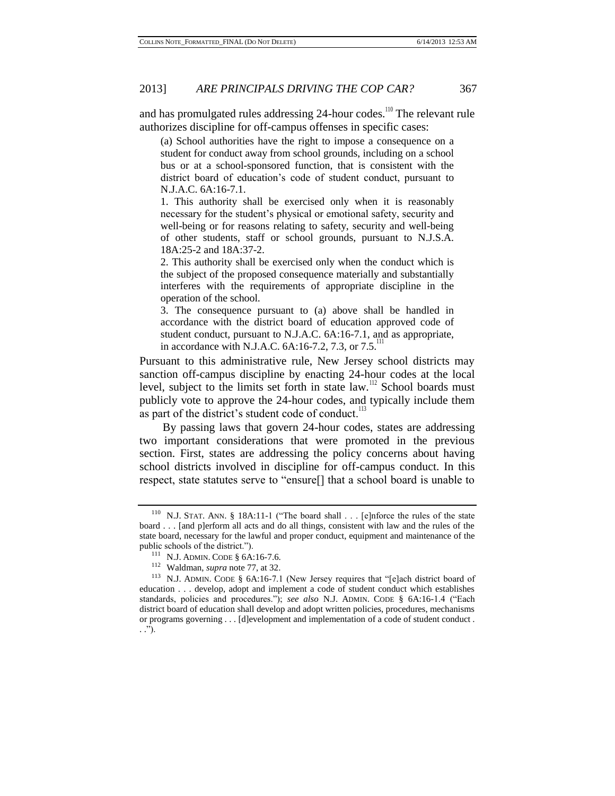and has promulgated rules addressing  $24$ -hour codes.<sup>110</sup> The relevant rule authorizes discipline for off-campus offenses in specific cases:

(a) School authorities have the right to impose a consequence on a student for conduct away from school grounds, including on a school bus or at a school-sponsored function, that is consistent with the district board of education's code of student conduct, pursuant to N.J.A.C. 6A:16-7.1.

1. This authority shall be exercised only when it is reasonably necessary for the student's physical or emotional safety, security and well-being or for reasons relating to safety, security and well-being of other students, staff or school grounds, pursuant to N.J.S.A. 18A:25-2 and 18A:37-2.

2. This authority shall be exercised only when the conduct which is the subject of the proposed consequence materially and substantially interferes with the requirements of appropriate discipline in the operation of the school.

3. The consequence pursuant to (a) above shall be handled in accordance with the district board of education approved code of student conduct, pursuant to N.J.A.C. 6A:16-7.1, and as appropriate, in accordance with N.J.A.C. 6A:16-7.2, 7.3, or 7.5.<sup>111</sup>

Pursuant to this administrative rule, New Jersey school districts may sanction off-campus discipline by enacting 24-hour codes at the local level, subject to the limits set forth in state law.<sup>112</sup> School boards must publicly vote to approve the 24-hour codes, and typically include them as part of the district's student code of conduct.<sup>113</sup>

By passing laws that govern 24-hour codes, states are addressing two important considerations that were promoted in the previous section. First, states are addressing the policy concerns about having school districts involved in discipline for off-campus conduct. In this respect, state statutes serve to "ensure[] that a school board is unable to

<sup>110</sup> N.J. STAT. ANN. § 18A:11-1 ("The board shall . . . [e]nforce the rules of the state board . . . [and p]erform all acts and do all things, consistent with law and the rules of the state board, necessary for the lawful and proper conduct, equipment and maintenance of the public schools of the district.").

 $111$  N.J. ADMIN. CODE § 6A:16-7.6.

<sup>112</sup> Waldman, *supra* note [77,](#page-12-0) at 32.

<sup>113</sup> N.J. ADMIN. CODE § 6A:16-7.1 (New Jersey requires that "[e]ach district board of education . . . develop, adopt and implement a code of student conduct which establishes standards, policies and procedures."); *see also* N.J. ADMIN. CODE § 6A:16-1.4 ("Each district board of education shall develop and adopt written policies, procedures, mechanisms or programs governing . . . [d]evelopment and implementation of a code of student conduct . . .").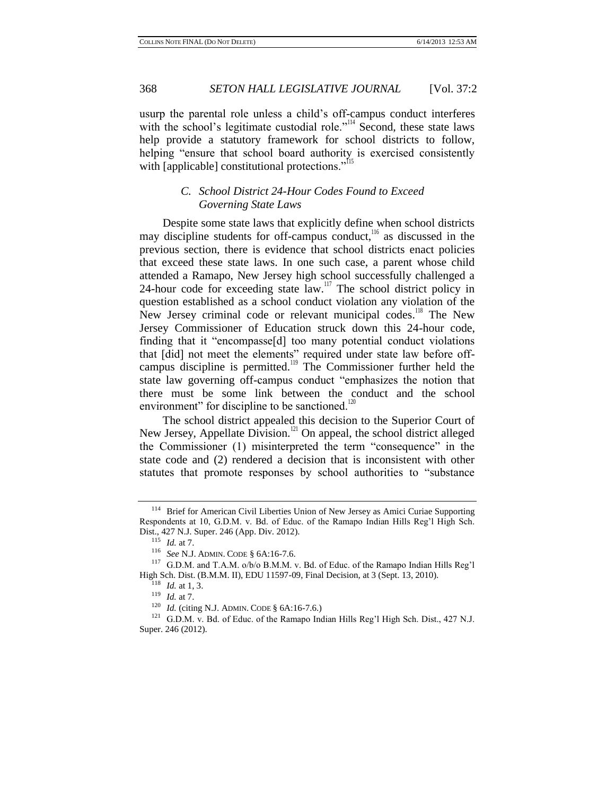usurp the parental role unless a child's off-campus conduct interferes with the school's legitimate custodial role."<sup>114</sup> Second, these state laws help provide a statutory framework for school districts to follow, helping "ensure that school board authority is exercised consistently with [applicable] constitutional protections."<sup>115</sup>

### *C. School District 24-Hour Codes Found to Exceed Governing State Laws*

Despite some state laws that explicitly define when school districts may discipline students for off-campus conduct, $116$  as discussed in the previous section, there is evidence that school districts enact policies that exceed these state laws. In one such case, a parent whose child attended a Ramapo, New Jersey high school successfully challenged a 24-hour code for exceeding state  $\overline{law}$ .<sup>117</sup> The school district policy in question established as a school conduct violation any violation of the New Jersey criminal code or relevant municipal codes.<sup>118</sup> The New Jersey Commissioner of Education struck down this 24-hour code, finding that it "encompasse[d] too many potential conduct violations that [did] not meet the elements" required under state law before offcampus discipline is permitted.<sup>119</sup> The Commissioner further held the state law governing off-campus conduct "emphasizes the notion that there must be some link between the conduct and the school environment" for discipline to be sanctioned.<sup>120</sup>

The school district appealed this decision to the Superior Court of New Jersey, Appellate Division.<sup>121</sup> On appeal, the school district alleged the Commissioner (1) misinterpreted the term "consequence" in the state code and (2) rendered a decision that is inconsistent with other statutes that promote responses by school authorities to "substance

<sup>&</sup>lt;sup>114</sup> Brief for American Civil Liberties Union of New Jersey as Amici Curiae Supporting Respondents at 10, G.D.M. v. Bd. of Educ. of the Ramapo Indian Hills Reg'l High Sch. Dist., 427 N.J. Super. 246 (App. Div. 2012).

<sup>115</sup> *Id.* at 7.

<sup>116</sup> *See* N.J. ADMIN. CODE § 6A:16-7.6.

<sup>117</sup> G.D.M. and T.A.M. o/b/o B.M.M. v. Bd. of Educ. of the Ramapo Indian Hills Reg'l High Sch. Dist. (B.M.M. II), EDU 11597-09, Final Decision, at 3 (Sept. 13, 2010).

 $118$  *Id.* at 1, 3.

<sup>119</sup> *Id.* at 7.

<sup>120</sup> *Id.* (citing N.J. ADMIN. CODE § 6A:16-7.6.)

<sup>&</sup>lt;sup>121</sup> G.D.M. v. Bd. of Educ. of the Ramapo Indian Hills Reg'l High Sch. Dist., 427 N.J. Super. 246 (2012).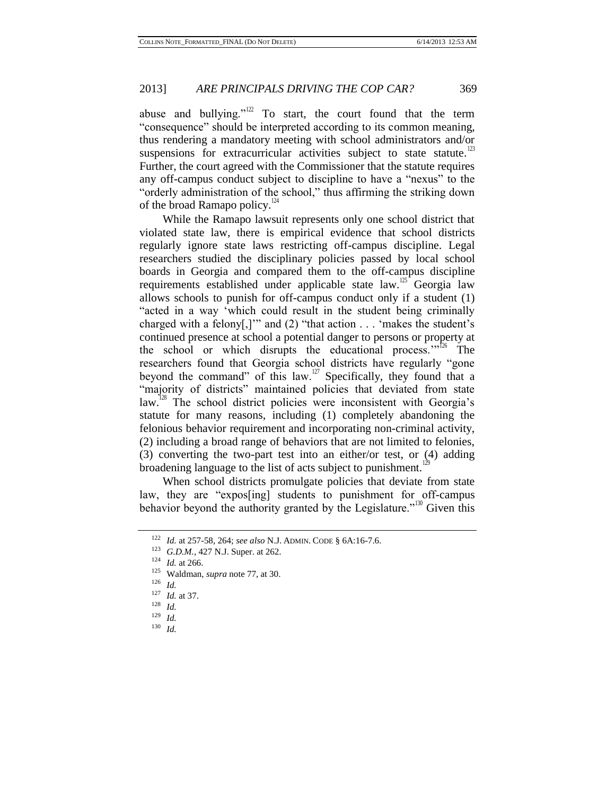abuse and bullying."<sup>122</sup> To start, the court found that the term "consequence" should be interpreted according to its common meaning, thus rendering a mandatory meeting with school administrators and/or suspensions for extracurricular activities subject to state statute.<sup>123</sup> Further, the court agreed with the Commissioner that the statute requires any off-campus conduct subject to discipline to have a "nexus" to the "orderly administration of the school," thus affirming the striking down of the broad Ramapo policy. $124$ 

While the Ramapo lawsuit represents only one school district that violated state law, there is empirical evidence that school districts regularly ignore state laws restricting off-campus discipline. Legal researchers studied the disciplinary policies passed by local school boards in Georgia and compared them to the off-campus discipline requirements established under applicable state law.<sup>125</sup> Georgia law allows schools to punish for off-campus conduct only if a student (1) "acted in a way 'which could result in the student being criminally charged with a felony[,]'" and (2) "that action . . . 'makes the student's continued presence at school a potential danger to persons or property at the school or which disrupts the educational process. $126$  The researchers found that Georgia school districts have regularly "gone beyond the command" of this law.<sup>127</sup> Specifically, they found that a "majority of districts" maintained policies that deviated from state law.<sup>128</sup> The school district policies were inconsistent with Georgia's statute for many reasons, including (1) completely abandoning the felonious behavior requirement and incorporating non-criminal activity, (2) including a broad range of behaviors that are not limited to felonies, (3) converting the two-part test into an either/or test, or (4) adding broadening language to the list of acts subject to punishment.<sup>1</sup>

When school districts promulgate policies that deviate from state law, they are "expos[ing] students to punishment for off-campus behavior beyond the authority granted by the Legislature."<sup>130</sup> Given this

<sup>122</sup> *Id.* at 257-58, 264; *see also* N.J. ADMIN. CODE § 6A:16-7.6.

<sup>123</sup> *G.D.M.*, 427 N.J. Super. at 262.

<sup>124</sup> *Id.* at 266.

<sup>125</sup> Waldman, *supra* note [77,](#page-12-0) at 30.

<sup>126</sup> *Id.*

<sup>127</sup> *Id.* at 37.

<sup>128</sup> *Id.*

<sup>129</sup> *Id.*

<sup>130</sup> *Id.*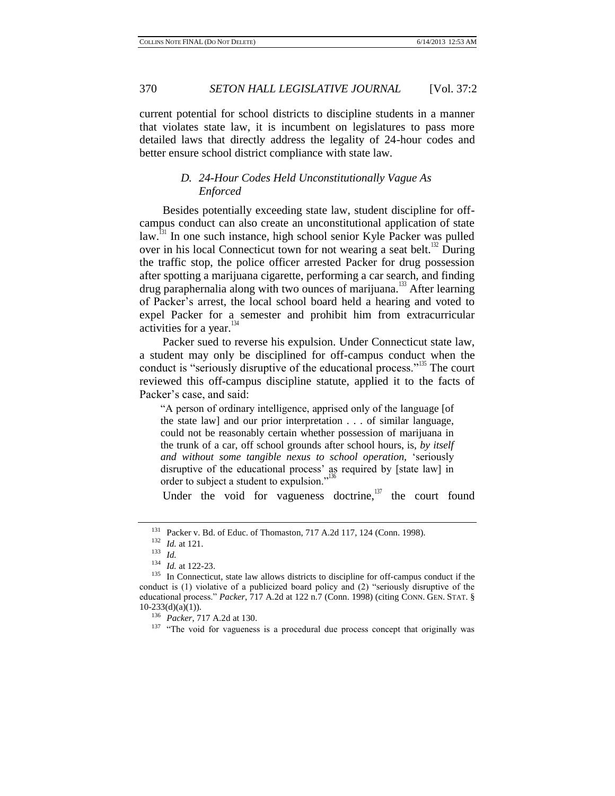current potential for school districts to discipline students in a manner that violates state law, it is incumbent on legislatures to pass more detailed laws that directly address the legality of 24-hour codes and better ensure school district compliance with state law.

# *D. 24-Hour Codes Held Unconstitutionally Vague As Enforced*

Besides potentially exceeding state law, student discipline for offcampus conduct can also create an unconstitutional application of state  $law<sup>131</sup>$  In one such instance, high school senior Kyle Packer was pulled over in his local Connecticut town for not wearing a seat belt.<sup>132</sup> During the traffic stop, the police officer arrested Packer for drug possession after spotting a marijuana cigarette, performing a car search, and finding drug paraphernalia along with two ounces of marijuana.<sup>133</sup> After learning of Packer's arrest, the local school board held a hearing and voted to expel Packer for a semester and prohibit him from extracurricular activities for a year.<sup>13</sup>

Packer sued to reverse his expulsion. Under Connecticut state law, a student may only be disciplined for off-campus conduct when the conduct is "seriously disruptive of the educational process."<sup>135</sup> The court reviewed this off-campus discipline statute, applied it to the facts of Packer's case, and said:

"A person of ordinary intelligence, apprised only of the language [of the state law] and our prior interpretation . . . of similar language, could not be reasonably certain whether possession of marijuana in the trunk of a car, off school grounds after school hours, is, *by itself and without some tangible nexus to school operation,* 'seriously disruptive of the educational process' as required by [state law] in order to subject a student to expulsion."<sup>136</sup>

Under the void for vagueness doctrine, $137$  the court found

<sup>&</sup>lt;sup>131</sup> Packer v. Bd. of Educ. of Thomaston, 717 A.2d 117, 124 (Conn. 1998).

<sup>132</sup> *Id.* at 121.

<sup>133</sup> *Id.*

<sup>134</sup> *Id.* at 122-23.

<sup>&</sup>lt;sup>135</sup> In Connecticut, state law allows districts to discipline for off-campus conduct if the conduct is (1) violative of a publicized board policy and (2) "seriously disruptive of the educational process." *Packer*, 717 A.2d at 122 n.7 (Conn. 1998) (citing CONN. GEN. STAT. §  $10-233(d)(a)(1)$ ).

<sup>136</sup> *Packer*, 717 A.2d at 130.

<sup>&</sup>lt;sup>137</sup> "The void for vagueness is a procedural due process concept that originally was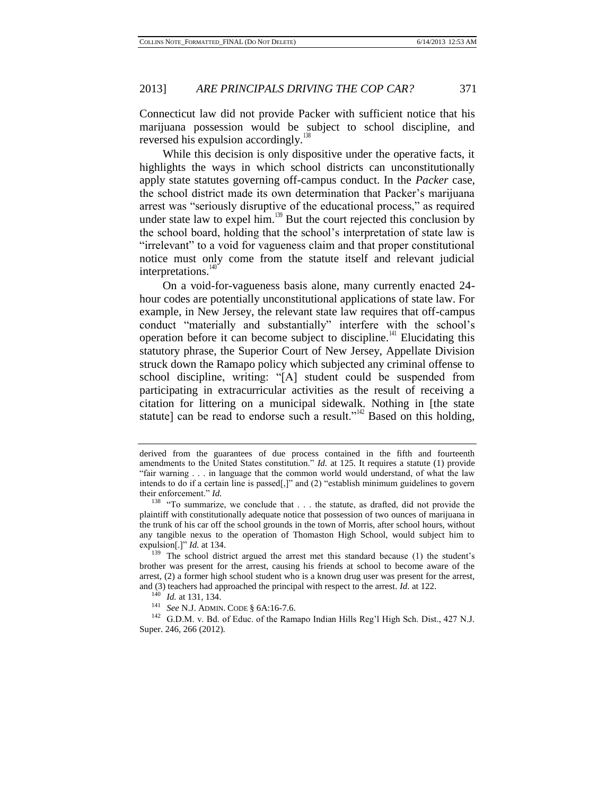Connecticut law did not provide Packer with sufficient notice that his marijuana possession would be subject to school discipline, and reversed his expulsion accordingly.<sup>138</sup>

While this decision is only dispositive under the operative facts, it highlights the ways in which school districts can unconstitutionally apply state statutes governing off-campus conduct. In the *Packer* case, the school district made its own determination that Packer's marijuana arrest was "seriously disruptive of the educational process," as required under state law to expel him.<sup>139</sup> But the court rejected this conclusion by the school board, holding that the school's interpretation of state law is "irrelevant" to a void for vagueness claim and that proper constitutional notice must only come from the statute itself and relevant judicial interpretations.<sup>140</sup>

On a void-for-vagueness basis alone, many currently enacted 24 hour codes are potentially unconstitutional applications of state law. For example, in New Jersey, the relevant state law requires that off-campus conduct "materially and substantially" interfere with the school's operation before it can become subject to discipline.<sup>141</sup> Elucidating this statutory phrase, the Superior Court of New Jersey, Appellate Division struck down the Ramapo policy which subjected any criminal offense to school discipline, writing: "[A] student could be suspended from participating in extracurricular activities as the result of receiving a citation for littering on a municipal sidewalk. Nothing in [the state statute] can be read to endorse such a result."<sup>142</sup> Based on this holding,

derived from the guarantees of due process contained in the fifth and fourteenth amendments to the United States constitution." *Id.* at 125. It requires a statute (1) provide "fair warning . . . in language that the common world would understand, of what the law intends to do if a certain line is passed[,]" and (2) "establish minimum guidelines to govern their enforcement." *Id.*

<sup>&</sup>lt;sup>138</sup> "To summarize, we conclude that . . . the statute, as drafted, did not provide the plaintiff with constitutionally adequate notice that possession of two ounces of marijuana in the trunk of his car off the school grounds in the town of Morris, after school hours, without any tangible nexus to the operation of Thomaston High School, would subject him to expulsion[.]" *Id.* at 134.

<sup>&</sup>lt;sup>139</sup> The school district argued the arrest met this standard because (1) the student's brother was present for the arrest, causing his friends at school to become aware of the arrest, (2) a former high school student who is a known drug user was present for the arrest, and (3) teachers had approached the principal with respect to the arrest. *Id.* at 122.

<sup>140</sup> *Id.* at 131, 134.

<sup>141</sup> *See* N.J. ADMIN. CODE § 6A:16-7.6.

<sup>&</sup>lt;sup>142</sup> G.D.M. v. Bd. of Educ. of the Ramapo Indian Hills Reg'l High Sch. Dist., 427 N.J. Super. 246, 266 (2012).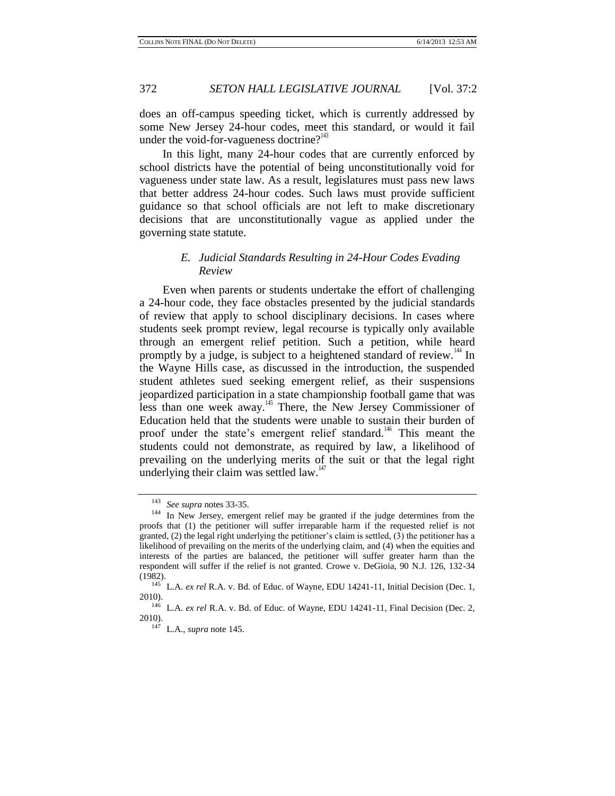does an off-campus speeding ticket, which is currently addressed by some New Jersey 24-hour codes, meet this standard, or would it fail under the void-for-vagueness doctrine? $143$ 

In this light, many 24-hour codes that are currently enforced by school districts have the potential of being unconstitutionally void for vagueness under state law. As a result, legislatures must pass new laws that better address 24-hour codes. Such laws must provide sufficient guidance so that school officials are not left to make discretionary decisions that are unconstitutionally vague as applied under the governing state statute.

### *E. Judicial Standards Resulting in 24-Hour Codes Evading Review*

Even when parents or students undertake the effort of challenging a 24-hour code, they face obstacles presented by the judicial standards of review that apply to school disciplinary decisions. In cases where students seek prompt review, legal recourse is typically only available through an emergent relief petition. Such a petition, while heard promptly by a judge, is subject to a heightened standard of review.<sup>144</sup> In the Wayne Hills case, as discussed in the introduction, the suspended student athletes sued seeking emergent relief, as their suspensions jeopardized participation in a state championship football game that was less than one week away.<sup>145</sup> There, the New Jersey Commissioner of Education held that the students were unable to sustain their burden of proof under the state's emergent relief standard.<sup>146</sup> This meant the students could not demonstrate, as required by law, a likelihood of prevailing on the underlying merits of the suit or that the legal right underlying their claim was settled law. $147$ 

<span id="page-23-0"></span><sup>143</sup> *See supra* notes 33-35.

<sup>&</sup>lt;sup>144</sup> In New Jersey, emergent relief may be granted if the judge determines from the proofs that (1) the petitioner will suffer irreparable harm if the requested relief is not granted,  $(2)$  the legal right underlying the petitioner's claim is settled,  $(3)$  the petitioner has a likelihood of prevailing on the merits of the underlying claim, and (4) when the equities and interests of the parties are balanced, the petitioner will suffer greater harm than the respondent will suffer if the relief is not granted. Crowe v. DeGioia, 90 N.J. 126, 132-34 (1982).

<sup>&</sup>lt;sup>145</sup> L.A. *ex rel* R.A. v. Bd. of Educ. of Wayne, EDU 14241-11, Initial Decision (Dec. 1, 2010).

<sup>&</sup>lt;sup>146</sup> L.A. *ex rel* R.A. v. Bd. of Educ. of Wayne, EDU 14241-11, Final Decision (Dec. 2, 2010).

<sup>147</sup> L.A., *supra* not[e 145.](#page-23-0)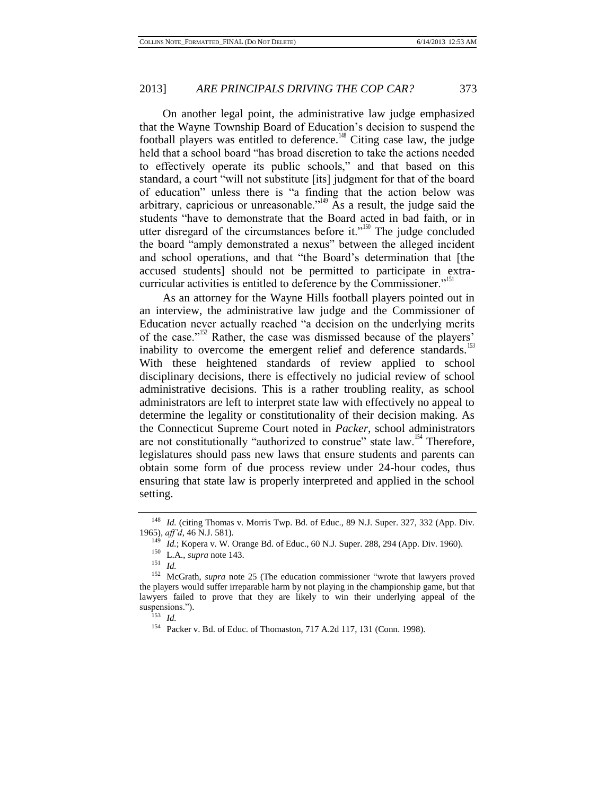On another legal point, the administrative law judge emphasized that the Wayne Township Board of Education's decision to suspend the football players was entitled to deference.<sup>148</sup> Citing case law, the judge held that a school board "has broad discretion to take the actions needed to effectively operate its public schools," and that based on this standard, a court "will not substitute [its] judgment for that of the board of education" unless there is "a finding that the action below was arbitrary, capricious or unreasonable."<sup> $49$ </sup> As a result, the judge said the students "have to demonstrate that the Board acted in bad faith, or in utter disregard of the circumstances before it."<sup>150</sup> The judge concluded the board "amply demonstrated a nexus" between the alleged incident and school operations, and that "the Board's determination that [the accused students] should not be permitted to participate in extracurricular activities is entitled to deference by the Commissioner."<sup>151</sup>

As an attorney for the Wayne Hills football players pointed out in an interview, the administrative law judge and the Commissioner of Education never actually reached "a decision on the underlying merits of the case."<sup>152</sup> Rather, the case was dismissed because of the players' inability to overcome the emergent relief and deference standards.<sup>153</sup> With these heightened standards of review applied to school disciplinary decisions, there is effectively no judicial review of school administrative decisions. This is a rather troubling reality, as school administrators are left to interpret state law with effectively no appeal to determine the legality or constitutionality of their decision making. As the Connecticut Supreme Court noted in *Packer*, school administrators are not constitutionally "authorized to construe" state law.<sup>154</sup> Therefore, legislatures should pass new laws that ensure students and parents can obtain some form of due process review under 24-hour codes, thus ensuring that state law is properly interpreted and applied in the school setting.

<sup>&</sup>lt;sup>148</sup> *Id.* (citing Thomas v. Morris Twp. Bd. of Educ., 89 N.J. Super. 327, 332 (App. Div. 1965), *aff'd*, 46 N.J. 581).

<sup>149</sup> *Id.*; Kopera v. W. Orange Bd. of Educ., 60 N.J. Super. 288, 294 (App. Div. 1960).

<sup>150</sup> L.A., *supra* note 143.

<sup>151</sup> *Id.*

<sup>152</sup> McGrath, *supra* note [25](#page-3-0) (The education commissioner "wrote that lawyers proved the players would suffer irreparable harm by not playing in the championship game, but that lawyers failed to prove that they are likely to win their underlying appeal of the suspensions.").

<sup>153</sup> *Id.*

<sup>154</sup> Packer v. Bd. of Educ. of Thomaston, 717 A.2d 117, 131 (Conn. 1998).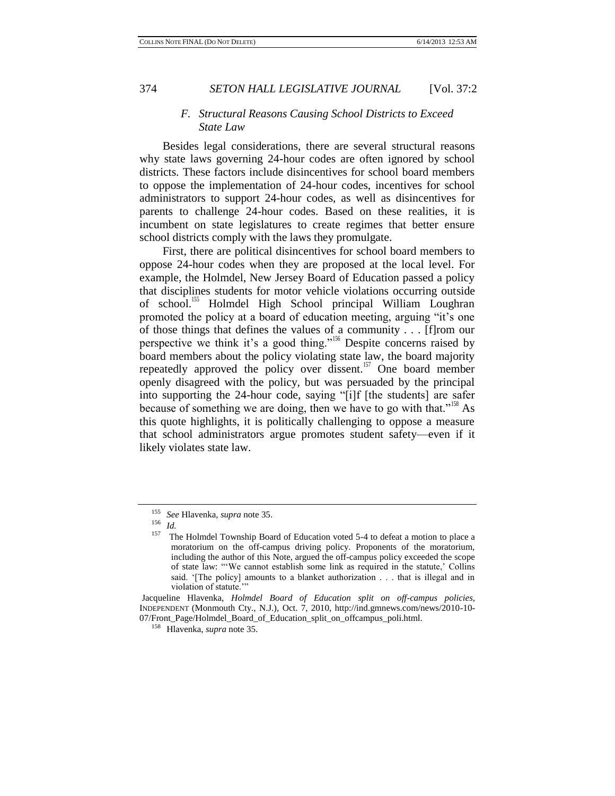#### *F. Structural Reasons Causing School Districts to Exceed State Law*

Besides legal considerations, there are several structural reasons why state laws governing 24-hour codes are often ignored by school districts. These factors include disincentives for school board members to oppose the implementation of 24-hour codes, incentives for school administrators to support 24-hour codes, as well as disincentives for parents to challenge 24-hour codes. Based on these realities, it is incumbent on state legislatures to create regimes that better ensure school districts comply with the laws they promulgate.

First, there are political disincentives for school board members to oppose 24-hour codes when they are proposed at the local level. For example, the Holmdel, New Jersey Board of Education passed a policy that disciplines students for motor vehicle violations occurring outside of school.<sup>155</sup> Holmdel High School principal William Loughran promoted the policy at a board of education meeting, arguing "it's one of those things that defines the values of a community . . . [f]rom our perspective we think it's a good thing."<sup>156</sup> Despite concerns raised by board members about the policy violating state law, the board majority repeatedly approved the policy over dissent.<sup>157</sup> One board member openly disagreed with the policy, but was persuaded by the principal into supporting the 24-hour code, saying "[i]f [the students] are safer because of something we are doing, then we have to go with that."<sup>158</sup> As this quote highlights, it is politically challenging to oppose a measure that school administrators argue promotes student safety—even if it likely violates state law.

<sup>155</sup> *See* Hlavenka, *supra* not[e 35.](#page-5-0)

 $\frac{156}{157}$  *Id.* 

The Holmdel Township Board of Education voted 5-4 to defeat a motion to place a moratorium on the off-campus driving policy. Proponents of the moratorium, including the author of this Note, argued the off-campus policy exceeded the scope of state law: "'We cannot establish some link as required in the statute,' Collins said. '[The policy] amounts to a blanket authorization . . . that is illegal and in violation of statute."

Jacqueline Hlavenka, *Holmdel Board of Education split on off-campus policies*, INDEPENDENT (Monmouth Cty., N.J.), Oct. 7, 2010, http://ind.gmnews.com/news/2010-10- 07/Front\_Page/Holmdel\_Board\_of\_Education\_split\_on\_offcampus\_poli.html.

<sup>158</sup> Hlavenka, *supra* not[e 35.](#page-5-0)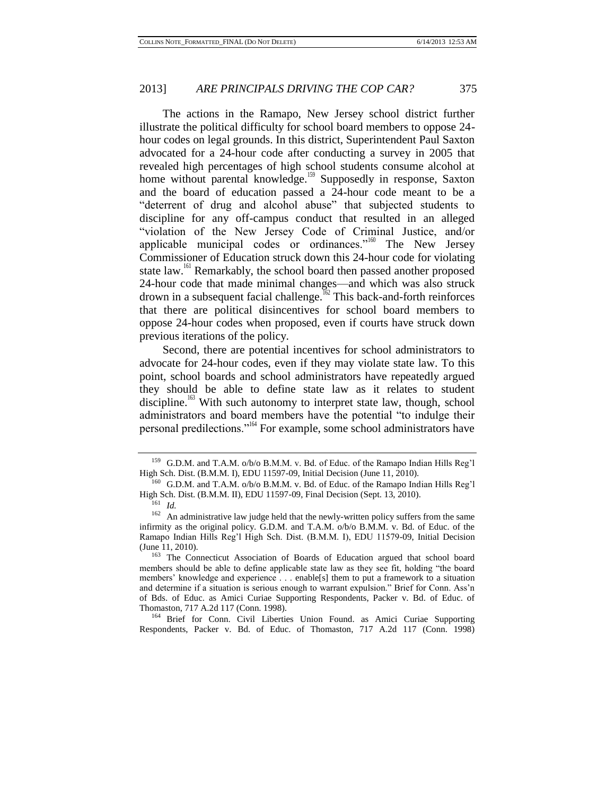The actions in the Ramapo, New Jersey school district further illustrate the political difficulty for school board members to oppose 24 hour codes on legal grounds. In this district, Superintendent Paul Saxton advocated for a 24-hour code after conducting a survey in 2005 that revealed high percentages of high school students consume alcohol at home without parental knowledge.<sup>159</sup> Supposedly in response, Saxton and the board of education passed a 24-hour code meant to be a "deterrent of drug and alcohol abuse" that subjected students to discipline for any off-campus conduct that resulted in an alleged "violation of the New Jersey Code of Criminal Justice, and/or applicable municipal codes or ordinances."<sup>160</sup> The New Jersey Commissioner of Education struck down this 24-hour code for violating state law.<sup>161</sup> Remarkably, the school board then passed another proposed 24-hour code that made minimal changes—and which was also struck drown in a subsequent facial challenge.<sup>162</sup> This back-and-forth reinforces that there are political disincentives for school board members to oppose 24-hour codes when proposed, even if courts have struck down previous iterations of the policy.

Second, there are potential incentives for school administrators to advocate for 24-hour codes, even if they may violate state law. To this point, school boards and school administrators have repeatedly argued they should be able to define state law as it relates to student discipline.<sup>163</sup> With such autonomy to interpret state law, though, school administrators and board members have the potential "to indulge their personal predilections."<sup>164</sup> For example, some school administrators have

<sup>164</sup> Brief for Conn. Civil Liberties Union Found. as Amici Curiae Supporting Respondents, Packer v. Bd. of Educ. of Thomaston, 717 A.2d 117 (Conn. 1998)

<sup>159</sup> G.D.M. and T.A.M. o/b/o B.M.M. v. Bd. of Educ. of the Ramapo Indian Hills Reg'l High Sch. Dist. (B.M.M. I), EDU 11597-09, Initial Decision (June 11, 2010).

<sup>&</sup>lt;sup>160</sup> G.D.M. and T.A.M. o/b/o B.M.M. v. Bd. of Educ. of the Ramapo Indian Hills Reg'l High Sch. Dist. (B.M.M. II), EDU 11597-09, Final Decision (Sept. 13, 2010).

<sup>161</sup> *Id.*

 $162$  An administrative law judge held that the newly-written policy suffers from the same infirmity as the original policy. G.D.M. and T.A.M. o/b/o B.M.M. v. Bd. of Educ. of the Ramapo Indian Hills Reg'l High Sch. Dist. (B.M.M. I), EDU 11579-09, Initial Decision (June 11, 2010).

<sup>163</sup> The Connecticut Association of Boards of Education argued that school board members should be able to define applicable state law as they see fit, holding "the board members' knowledge and experience . . . enable[s] them to put a framework to a situation and determine if a situation is serious enough to warrant expulsion." Brief for Conn. Ass'n of Bds. of Educ. as Amici Curiae Supporting Respondents, Packer v. Bd. of Educ. of Thomaston, 717 A.2d 117 (Conn. 1998).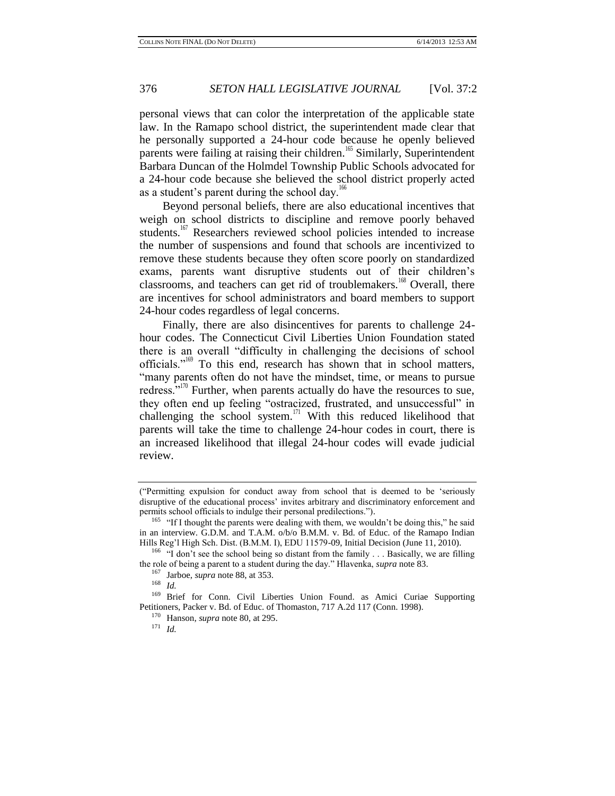personal views that can color the interpretation of the applicable state law. In the Ramapo school district, the superintendent made clear that he personally supported a 24-hour code because he openly believed parents were failing at raising their children.<sup>165</sup> Similarly, Superintendent Barbara Duncan of the Holmdel Township Public Schools advocated for a 24-hour code because she believed the school district properly acted as a student's parent during the school day.<sup>166</sup>

Beyond personal beliefs, there are also educational incentives that weigh on school districts to discipline and remove poorly behaved students.<sup>167</sup> Researchers reviewed school policies intended to increase the number of suspensions and found that schools are incentivized to remove these students because they often score poorly on standardized exams, parents want disruptive students out of their children's classrooms, and teachers can get rid of troublemakers.<sup>168</sup> Overall, there are incentives for school administrators and board members to support 24-hour codes regardless of legal concerns.

Finally, there are also disincentives for parents to challenge 24 hour codes. The Connecticut Civil Liberties Union Foundation stated there is an overall "difficulty in challenging the decisions of school officials." $169$  To this end, research has shown that in school matters, "many parents often do not have the mindset, time, or means to pursue redress."<sup>170</sup> Further, when parents actually do have the resources to sue, they often end up feeling "ostracized, frustrated, and unsuccessful" in challenging the school system.<sup>171</sup> With this reduced likelihood that parents will take the time to challenge 24-hour codes in court, there is an increased likelihood that illegal 24-hour codes will evade judicial review.

<sup>(&</sup>quot;Permitting expulsion for conduct away from school that is deemed to be 'seriously disruptive of the educational process' invites arbitrary and discriminatory enforcement and permits school officials to indulge their personal predilections.").

<sup>&</sup>lt;sup>165</sup> "If I thought the parents were dealing with them, we wouldn't be doing this," he said in an interview. G.D.M. and T.A.M. o/b/o B.M.M. v. Bd. of Educ. of the Ramapo Indian Hills Reg'l High Sch. Dist. (B.M.M. I), EDU 11579-09, Initial Decision (June 11, 2010).

<sup>&</sup>lt;sup>166</sup> "I don't see the school being so distant from the family  $\ldots$  Basically, we are filling the role of being a parent to a student during the day." Hlavenka, *supra* note [83.](#page-13-1)

<sup>167</sup> Jarboe, *supra* not[e 88,](#page-14-0) at 353.

<sup>168</sup> *Id.*

<sup>169</sup> Brief for Conn. Civil Liberties Union Found. as Amici Curiae Supporting Petitioners, Packer v. Bd. of Educ. of Thomaston, 717 A.2d 117 (Conn. 1998).

<sup>170</sup> Hanson, *supra* not[e 80,](#page-13-0) at 295.

<sup>171</sup> *Id.*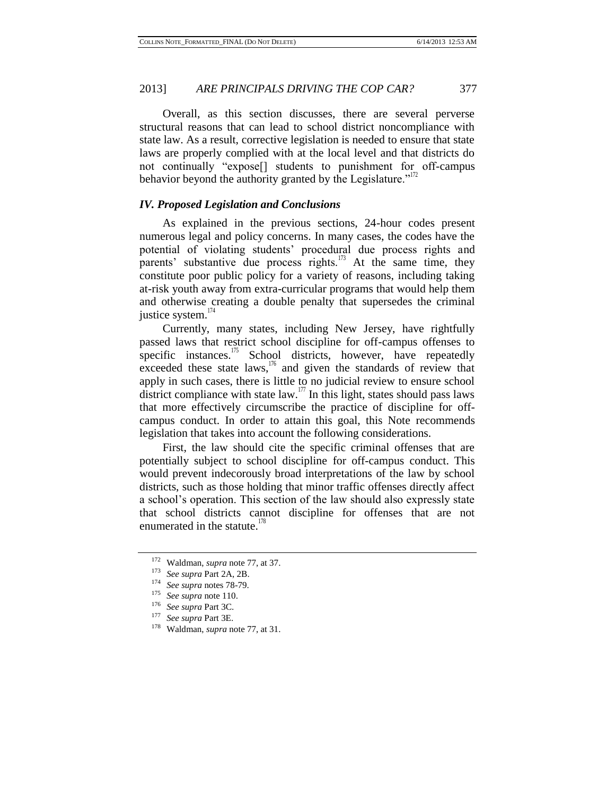Overall, as this section discusses, there are several perverse structural reasons that can lead to school district noncompliance with state law. As a result, corrective legislation is needed to ensure that state laws are properly complied with at the local level and that districts do not continually "expose[] students to punishment for off-campus behavior beyond the authority granted by the Legislature." $172$ 

#### *IV. Proposed Legislation and Conclusions*

As explained in the previous sections, 24-hour codes present numerous legal and policy concerns. In many cases, the codes have the potential of violating students' procedural due process rights and parents' substantive due process rights.<sup>173</sup> At the same time, they constitute poor public policy for a variety of reasons, including taking at-risk youth away from extra-curricular programs that would help them and otherwise creating a double penalty that supersedes the criminal justice system.<sup>174</sup>

Currently, many states, including New Jersey, have rightfully passed laws that restrict school discipline for off-campus offenses to specific instances.<sup>175</sup> School districts, however, have repeatedly exceeded these state laws, $\frac{176}{6}$  and given the standards of review that apply in such cases, there is little to no judicial review to ensure school district compliance with state law.<sup>177</sup> In this light, states should pass laws that more effectively circumscribe the practice of discipline for offcampus conduct. In order to attain this goal, this Note recommends legislation that takes into account the following considerations.

First, the law should cite the specific criminal offenses that are potentially subject to school discipline for off-campus conduct. This would prevent indecorously broad interpretations of the law by school districts, such as those holding that minor traffic offenses directly affect a school's operation. This section of the law should also expressly state that school districts cannot discipline for offenses that are not enumerated in the statute. $178$ 

<sup>172</sup> Waldman, *supra* note [77,](#page-12-0) at 37.

<sup>173</sup> *See supra* Part 2A, 2B.

<sup>&</sup>lt;sup>174</sup> *See supra* notes 78-79.<br><sup>175</sup> *See supra* note 110

<sup>&</sup>lt;sup>175</sup> *See supra* note 110.<br><sup>176</sup> *See supra* Part 3C

<sup>176</sup> *See supra* Part 3C.

<sup>177</sup> *See supra* Part 3E.

Waldman, *supra* note [77,](#page-12-0) at 31.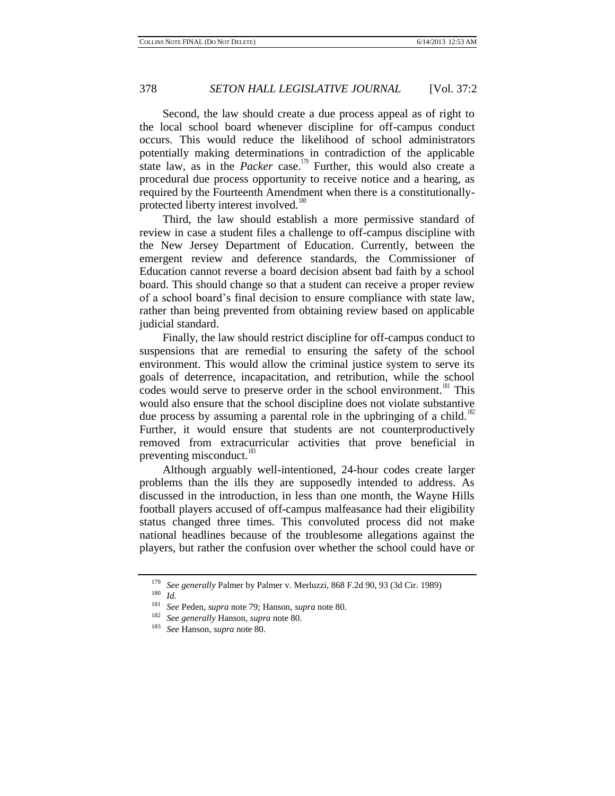Second, the law should create a due process appeal as of right to the local school board whenever discipline for off-campus conduct occurs. This would reduce the likelihood of school administrators potentially making determinations in contradiction of the applicable state law, as in the *Packer* case. <sup>179</sup> Further, this would also create a procedural due process opportunity to receive notice and a hearing, as required by the Fourteenth Amendment when there is a constitutionallyprotected liberty interest involved.<sup>180</sup>

Third, the law should establish a more permissive standard of review in case a student files a challenge to off-campus discipline with the New Jersey Department of Education. Currently, between the emergent review and deference standards, the Commissioner of Education cannot reverse a board decision absent bad faith by a school board. This should change so that a student can receive a proper review of a school board's final decision to ensure compliance with state law, rather than being prevented from obtaining review based on applicable judicial standard.

Finally, the law should restrict discipline for off-campus conduct to suspensions that are remedial to ensuring the safety of the school environment. This would allow the criminal justice system to serve its goals of deterrence, incapacitation, and retribution, while the school codes would serve to preserve order in the school environment.<sup>181</sup> This would also ensure that the school discipline does not violate substantive due process by assuming a parental role in the upbringing of a child.<sup>182</sup> Further, it would ensure that students are not counterproductively removed from extracurricular activities that prove beneficial in preventing misconduct.<sup>183</sup>

Although arguably well-intentioned, 24-hour codes create larger problems than the ills they are supposedly intended to address. As discussed in the introduction, in less than one month, the Wayne Hills football players accused of off-campus malfeasance had their eligibility status changed three times. This convoluted process did not make national headlines because of the troublesome allegations against the players, but rather the confusion over whether the school could have or

<sup>182</sup> *See generally* Hanson, *supra* not[e 80.](#page-13-0)

<sup>&</sup>lt;sup>179</sup> *See generally* Palmer by Palmer v. Merluzzi, 868 F.2d 90, 93 (3d Cir. 1989)<br><sup>180</sup> *L* 

 $\frac{180}{181}$  *Id.* 

<sup>181</sup> *See* Peden, *supra* note 79; Hanson, *supra* note [80.](#page-13-0)

<sup>183</sup> *See* Hanson, *supra* not[e 80.](#page-13-0)